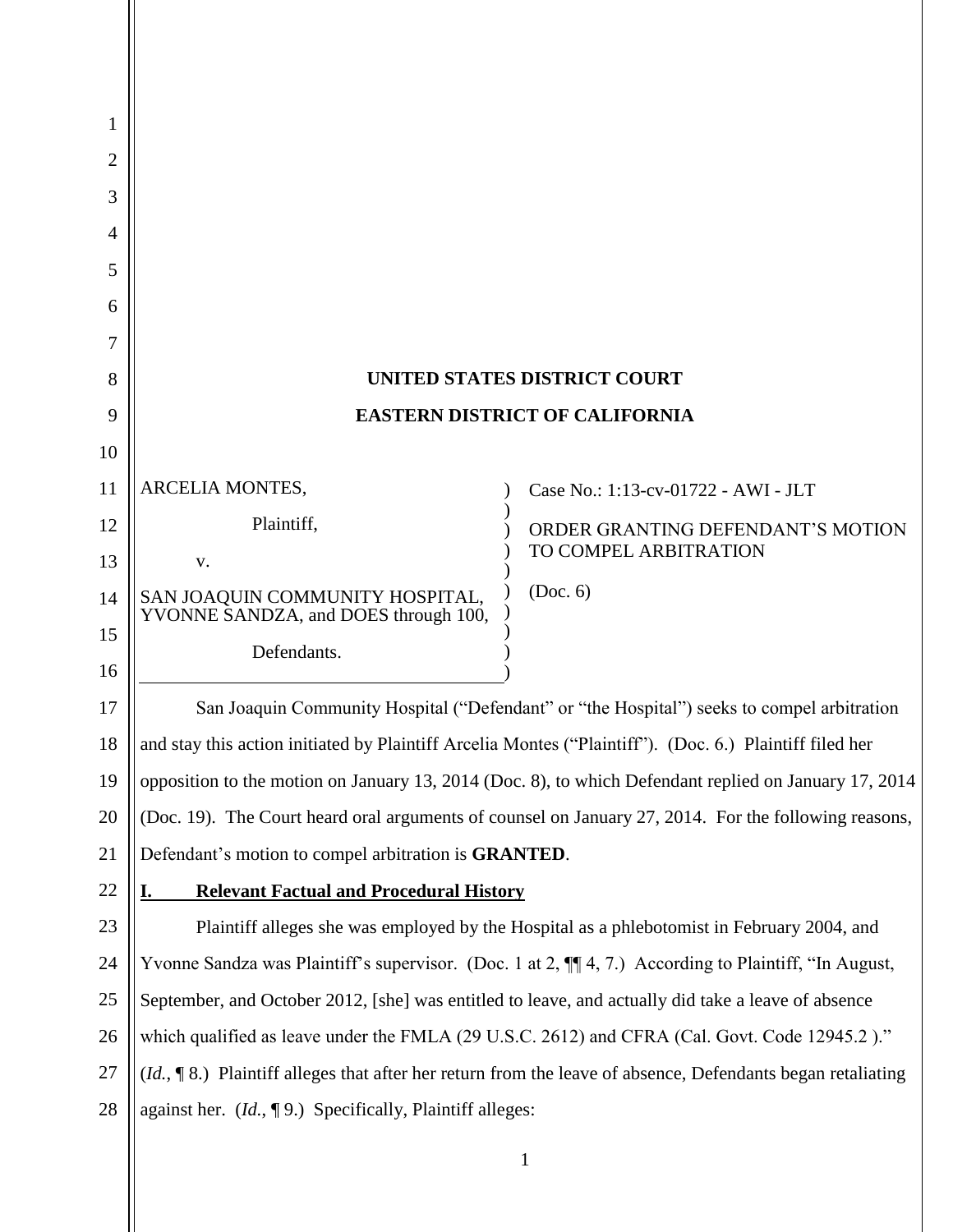| 1  |                                                                                                            |                                                                                                         |  |  |
|----|------------------------------------------------------------------------------------------------------------|---------------------------------------------------------------------------------------------------------|--|--|
| 2  |                                                                                                            |                                                                                                         |  |  |
| 3  |                                                                                                            |                                                                                                         |  |  |
| 4  |                                                                                                            |                                                                                                         |  |  |
| 5  |                                                                                                            |                                                                                                         |  |  |
| 6  |                                                                                                            |                                                                                                         |  |  |
| 7  |                                                                                                            |                                                                                                         |  |  |
| 8  |                                                                                                            | <b>UNITED STATES DISTRICT COURT</b>                                                                     |  |  |
| 9  | <b>EASTERN DISTRICT OF CALIFORNIA</b>                                                                      |                                                                                                         |  |  |
| 10 |                                                                                                            |                                                                                                         |  |  |
| 11 | ARCELIA MONTES,                                                                                            | Case No.: 1:13-cv-01722 - AWI - JLT                                                                     |  |  |
| 12 | Plaintiff,                                                                                                 | ORDER GRANTING DEFENDANT'S MOTION                                                                       |  |  |
| 13 | V.                                                                                                         | TO COMPEL ARBITRATION                                                                                   |  |  |
| 14 | SAN JOAQUIN COMMUNITY HOSPITAL,<br>YVONNE SANDZA, and DOES through 100,                                    | (Doc. 6)                                                                                                |  |  |
| 15 | Defendants.                                                                                                |                                                                                                         |  |  |
| 16 |                                                                                                            |                                                                                                         |  |  |
| 17 |                                                                                                            | San Joaquin Community Hospital ("Defendant" or "the Hospital") seeks to compel arbitration              |  |  |
| 18 |                                                                                                            | and stay this action initiated by Plaintiff Arcelia Montes ("Plaintiff"). (Doc. 6.) Plaintiff filed her |  |  |
| 19 | opposition to the motion on January 13, 2014 (Doc. 8), to which Defendant replied on January 17, 2014      |                                                                                                         |  |  |
| 20 | (Doc. 19). The Court heard oral arguments of counsel on January 27, 2014. For the following reasons,       |                                                                                                         |  |  |
| 21 | Defendant's motion to compel arbitration is GRANTED.                                                       |                                                                                                         |  |  |
| 22 | <b>Relevant Factual and Procedural History</b><br>I.                                                       |                                                                                                         |  |  |
| 23 | Plaintiff alleges she was employed by the Hospital as a phlebotomist in February 2004, and                 |                                                                                                         |  |  |
| 24 | Yvonne Sandza was Plaintiff's supervisor. (Doc. 1 at 2, $\P$ 4, 7.) According to Plaintiff, "In August,    |                                                                                                         |  |  |
| 25 | September, and October 2012, [she] was entitled to leave, and actually did take a leave of absence         |                                                                                                         |  |  |
| 26 | which qualified as leave under the FMLA (29 U.S.C. 2612) and CFRA (Cal. Govt. Code 12945.2)."              |                                                                                                         |  |  |
| 27 | (Id., 18.) Plaintiff alleges that after her return from the leave of absence, Defendants began retaliating |                                                                                                         |  |  |
| 28 | against her. $(Id, \P 9)$ . Specifically, Plaintiff alleges:                                               |                                                                                                         |  |  |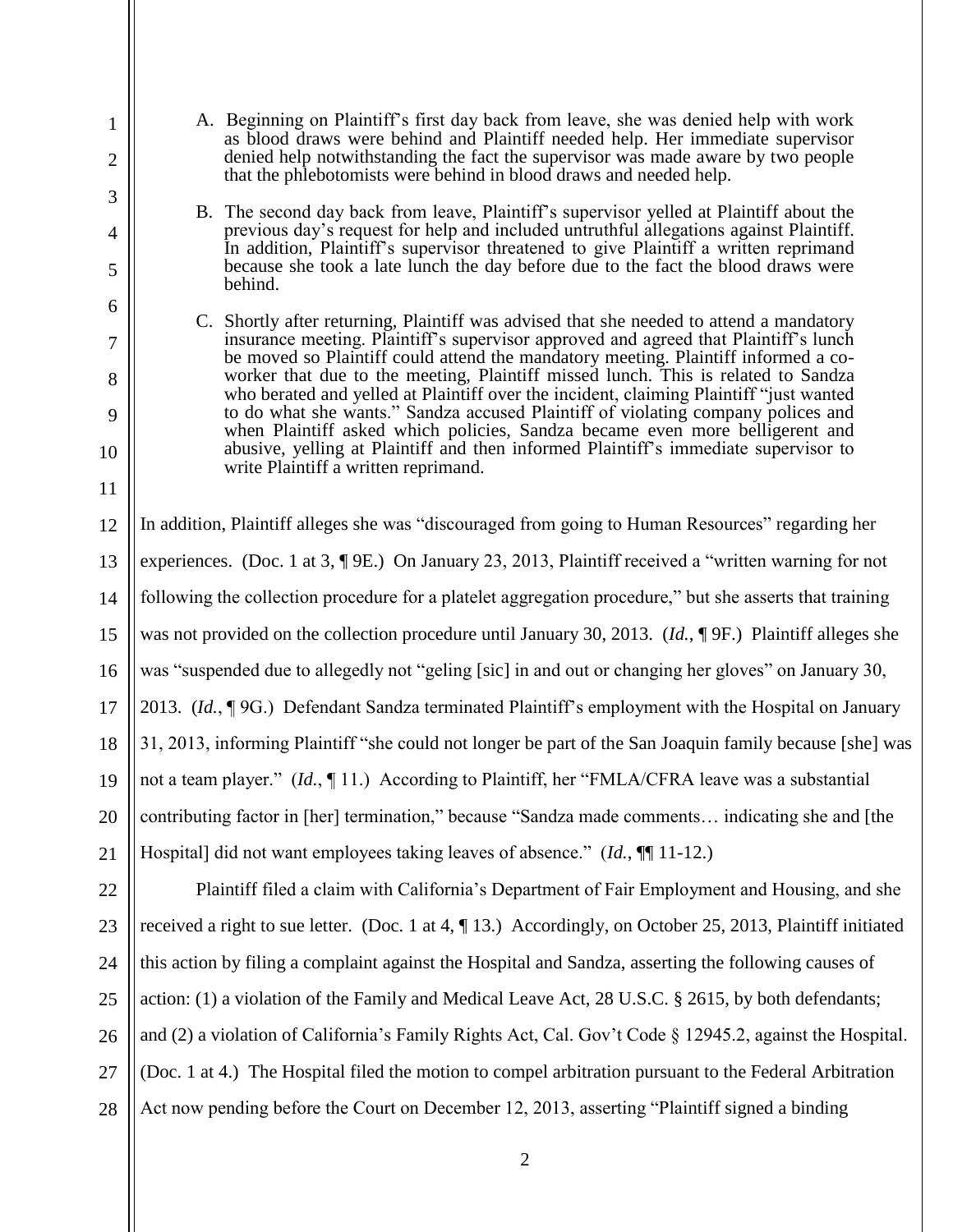- A. Beginning on Plaintiff's first day back from leave, she was denied help with work as blood draws were behind and Plaintiff needed help. Her immediate supervisor denied help notwithstanding the fact the supervisor was made aware by two people that the phlebotomists were behind in blood draws and needed help.
- B. The second day back from leave, Plaintiff's supervisor yelled at Plaintiff about the previous day's request for help and included untruthful allegations against Plaintiff. In addition, Plaintiff's supervisor threatened to give Plaintiff a written reprimand because she took a late lunch the day before due to the fact the blood draws were behind.
- C. Shortly after returning, Plaintiff was advised that she needed to attend a mandatory insurance meeting. Plaintiff's supervisor approved and agreed that Plaintiff's lunch be moved so Plaintiff could attend the mandatory meeting. Plaintiff informed a coworker that due to the meeting, Plaintiff missed lunch. This is related to Sandza who berated and yelled at Plaintiff over the incident, claiming Plaintiff "just wanted to do what she wants." Sandza accused Plaintiff of violating company polices and when Plaintiff asked which policies, Sandza became even more belligerent and abusive, yelling at Plaintiff and then informed Plaintiff's immediate supervisor to write Plaintiff a written reprimand.

In addition, Plaintiff alleges she was "discouraged from going to Human Resources" regarding her experiences. (Doc. 1 at 3, ¶ 9E.) On January 23, 2013, Plaintiff received a "written warning for not following the collection procedure for a platelet aggregation procedure," but she asserts that training was not provided on the collection procedure until January 30, 2013. (*Id.*, ¶ 9F.) Plaintiff alleges she was "suspended due to allegedly not "geling [sic] in and out or changing her gloves" on January 30, 2013. (*Id.*, ¶ 9G.) Defendant Sandza terminated Plaintiff's employment with the Hospital on January 31, 2013, informing Plaintiff "she could not longer be part of the San Joaquin family because [she] was not a team player." (*Id.*, ¶ 11.) According to Plaintiff, her "FMLA/CFRA leave was a substantial contributing factor in [her] termination," because "Sandza made comments… indicating she and [the Hospital] did not want employees taking leaves of absence." (*Id.*, ¶¶ 11-12.)

Plaintiff filed a claim with California's Department of Fair Employment and Housing, and she received a right to sue letter. (Doc. 1 at 4, ¶ 13.) Accordingly, on October 25, 2013, Plaintiff initiated this action by filing a complaint against the Hospital and Sandza, asserting the following causes of action: (1) a violation of the Family and Medical Leave Act, 28 U.S.C. § 2615, by both defendants; and (2) a violation of California's Family Rights Act, Cal. Gov't Code § 12945.2, against the Hospital. (Doc. 1 at 4.) The Hospital filed the motion to compel arbitration pursuant to the Federal Arbitration Act now pending before the Court on December 12, 2013, asserting "Plaintiff signed a binding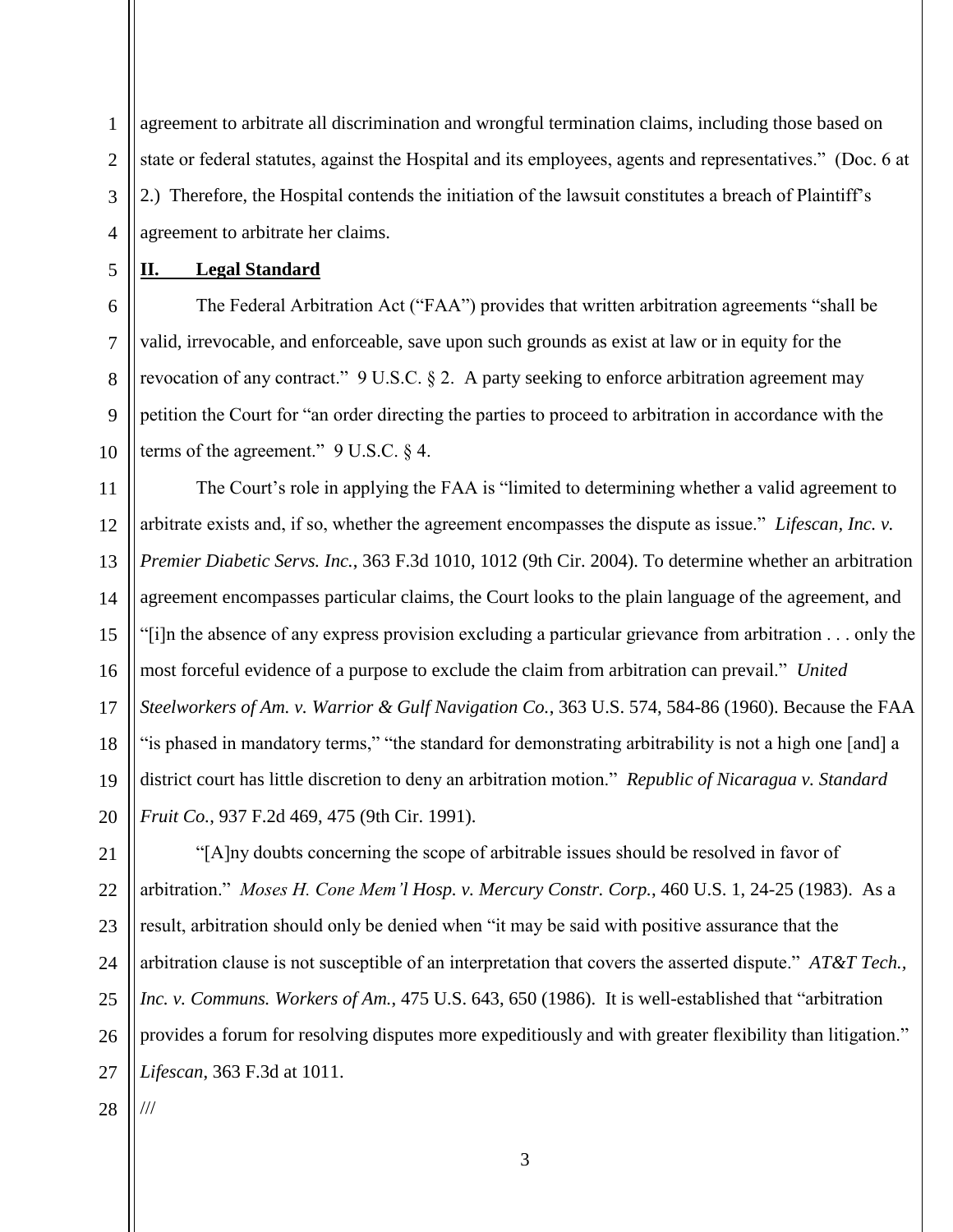agreement to arbitrate all discrimination and wrongful termination claims, including those based on state or federal statutes, against the Hospital and its employees, agents and representatives." (Doc. 6 at 2.) Therefore, the Hospital contends the initiation of the lawsuit constitutes a breach of Plaintiff's agreement to arbitrate her claims.

**II. Legal Standard**

1

2

3

4

5

6

7

8

9

10

The Federal Arbitration Act ("FAA") provides that written arbitration agreements "shall be valid, irrevocable, and enforceable, save upon such grounds as exist at law or in equity for the revocation of any contract." 9 U.S.C. § 2. A party seeking to enforce arbitration agreement may petition the Court for "an order directing the parties to proceed to arbitration in accordance with the terms of the agreement."  $9 \text{ U.S.C. } § 4$ .

11 12 13 14 15 16 17 18 19 20 The Court's role in applying the FAA is "limited to determining whether a valid agreement to arbitrate exists and, if so, whether the agreement encompasses the dispute as issue." *Lifescan, Inc. v. Premier Diabetic Servs. Inc.*, 363 F.3d 1010, 1012 (9th Cir. 2004). To determine whether an arbitration agreement encompasses particular claims, the Court looks to the plain language of the agreement, and "[i]n the absence of any express provision excluding a particular grievance from arbitration . . . only the most forceful evidence of a purpose to exclude the claim from arbitration can prevail." *United Steelworkers of Am. v. Warrior & Gulf Navigation Co.*, 363 U.S. 574, 584-86 (1960). Because the FAA "is phased in mandatory terms," "the standard for demonstrating arbitrability is not a high one [and] a district court has little discretion to deny an arbitration motion." *Republic of Nicaragua v. Standard Fruit Co.*, 937 F.2d 469, 475 (9th Cir. 1991).

21 22 23 24 25 26 27 "[A]ny doubts concerning the scope of arbitrable issues should be resolved in favor of arbitration." *Moses H. Cone Mem'l Hosp. v. Mercury Constr. Corp.*, 460 U.S. 1, 24-25 (1983). As a result, arbitration should only be denied when "it may be said with positive assurance that the arbitration clause is not susceptible of an interpretation that covers the asserted dispute." *AT&T Tech., Inc. v. Communs. Workers of Am.*, 475 U.S. 643, 650 (1986). It is well-established that "arbitration provides a forum for resolving disputes more expeditiously and with greater flexibility than litigation." *Lifescan*, 363 F.3d at 1011. ///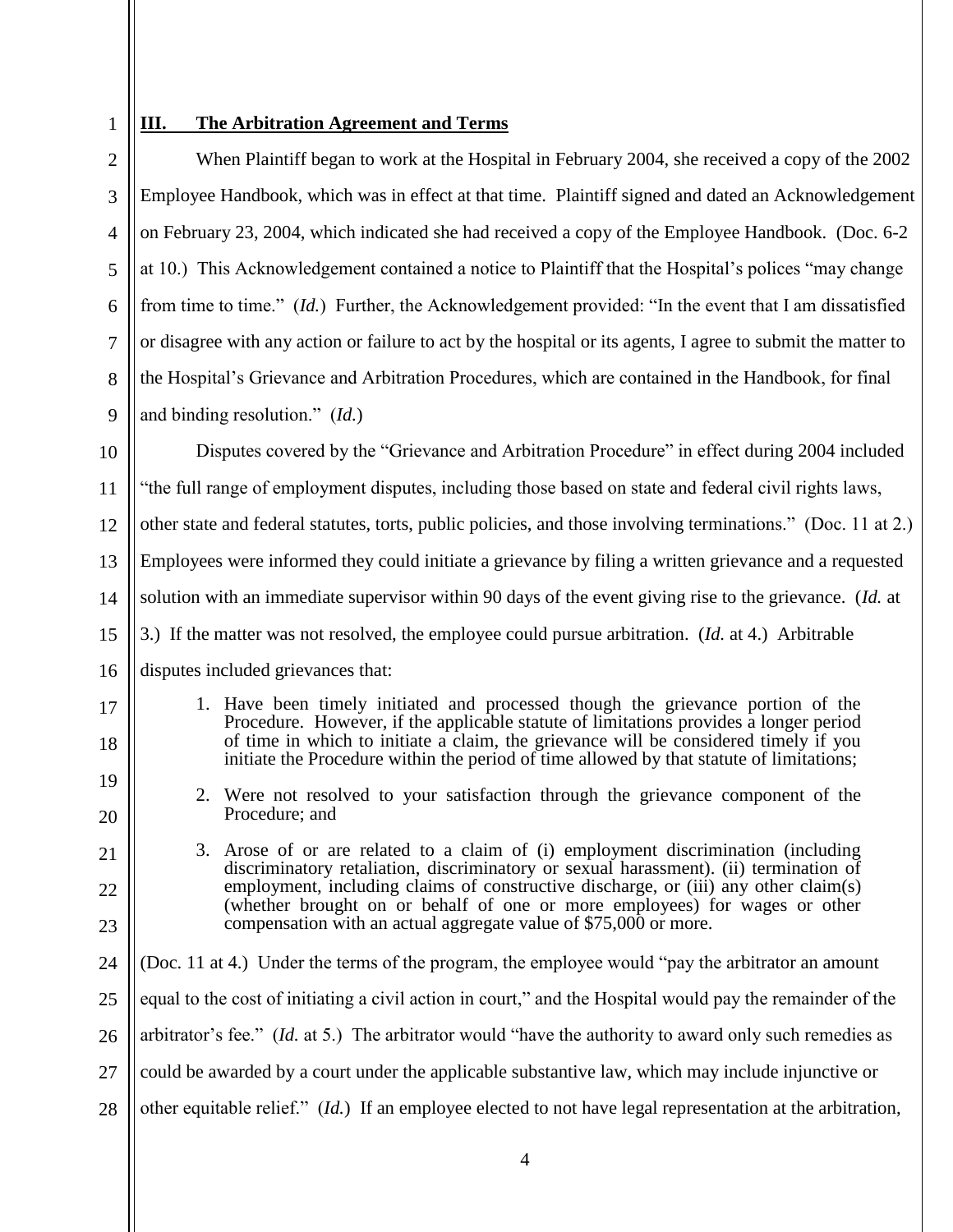### 1 **III. The Arbitration Agreement and Terms**

| $\overline{2}$ | When Plaintiff began to work at the Hospital in February 2004, she received a copy of the 2002                                                                                                                                                                   |  |  |  |  |
|----------------|------------------------------------------------------------------------------------------------------------------------------------------------------------------------------------------------------------------------------------------------------------------|--|--|--|--|
| 3              | Employee Handbook, which was in effect at that time. Plaintiff signed and dated an Acknowledgement                                                                                                                                                               |  |  |  |  |
| $\overline{4}$ | on February 23, 2004, which indicated she had received a copy of the Employee Handbook. (Doc. 6-2)                                                                                                                                                               |  |  |  |  |
| 5              | at 10.) This Acknowledgement contained a notice to Plaintiff that the Hospital's polices "may change                                                                                                                                                             |  |  |  |  |
| 6              | from time to time." <i>(Id.)</i> Further, the Acknowledgement provided: "In the event that I am dissatisfied                                                                                                                                                     |  |  |  |  |
| 7              | or disagree with any action or failure to act by the hospital or its agents, I agree to submit the matter to                                                                                                                                                     |  |  |  |  |
| 8              | the Hospital's Grievance and Arbitration Procedures, which are contained in the Handbook, for final                                                                                                                                                              |  |  |  |  |
| 9              | and binding resolution." $(Id.)$                                                                                                                                                                                                                                 |  |  |  |  |
| 10             | Disputes covered by the "Grievance and Arbitration Procedure" in effect during 2004 included                                                                                                                                                                     |  |  |  |  |
| 11             | "the full range of employment disputes, including those based on state and federal civil rights laws,                                                                                                                                                            |  |  |  |  |
| 12             | other state and federal statutes, torts, public policies, and those involving terminations." (Doc. 11 at 2.)                                                                                                                                                     |  |  |  |  |
| 13             | Employees were informed they could initiate a grievance by filing a written grievance and a requested                                                                                                                                                            |  |  |  |  |
| 14             | solution with an immediate supervisor within 90 days of the event giving rise to the grievance. (Id. at                                                                                                                                                          |  |  |  |  |
| 15             | 3.) If the matter was not resolved, the employee could pursue arbitration. (Id. at 4.) Arbitrable                                                                                                                                                                |  |  |  |  |
| 16             | disputes included grievances that:                                                                                                                                                                                                                               |  |  |  |  |
| 17<br>18       | 1. Have been timely initiated and processed though the grievance portion of the<br>Procedure. However, if the applicable statute of limitations provides a longer period<br>of time in which to initiate a claim, the grievance will be considered timely if you |  |  |  |  |
| 19             | initiate the Procedure within the period of time allowed by that statute of limitations;                                                                                                                                                                         |  |  |  |  |
| 20             | 2. Were not resolved to your satisfaction through the grievance component of the<br>Procedure; and                                                                                                                                                               |  |  |  |  |
| 21             | 3. Arose of or are related to a claim of (i) employment discrimination (including<br>discriminatory retaliation, discriminatory or sexual harassment). (ii) termination of                                                                                       |  |  |  |  |
| 22             | employment, including claims of constructive discharge, or (iii) any other claim(s)<br>(whether brought on or behalf of one or more employees) for wages or other                                                                                                |  |  |  |  |
| 23             | compensation with an actual aggregate value of \$75,000 or more.                                                                                                                                                                                                 |  |  |  |  |
| 24             | (Doc. 11 at 4.) Under the terms of the program, the employee would "pay the arbitrator an amount                                                                                                                                                                 |  |  |  |  |
| 25             | equal to the cost of initiating a civil action in court," and the Hospital would pay the remainder of the                                                                                                                                                        |  |  |  |  |
| 26             | arbitrator's fee." <i>(Id. at 5.)</i> The arbitrator would "have the authority to award only such remedies as                                                                                                                                                    |  |  |  |  |
| 27             | could be awarded by a court under the applicable substantive law, which may include injunctive or                                                                                                                                                                |  |  |  |  |
| 28             | other equitable relief." ( <i>Id.</i> ) If an employee elected to not have legal representation at the arbitration,                                                                                                                                              |  |  |  |  |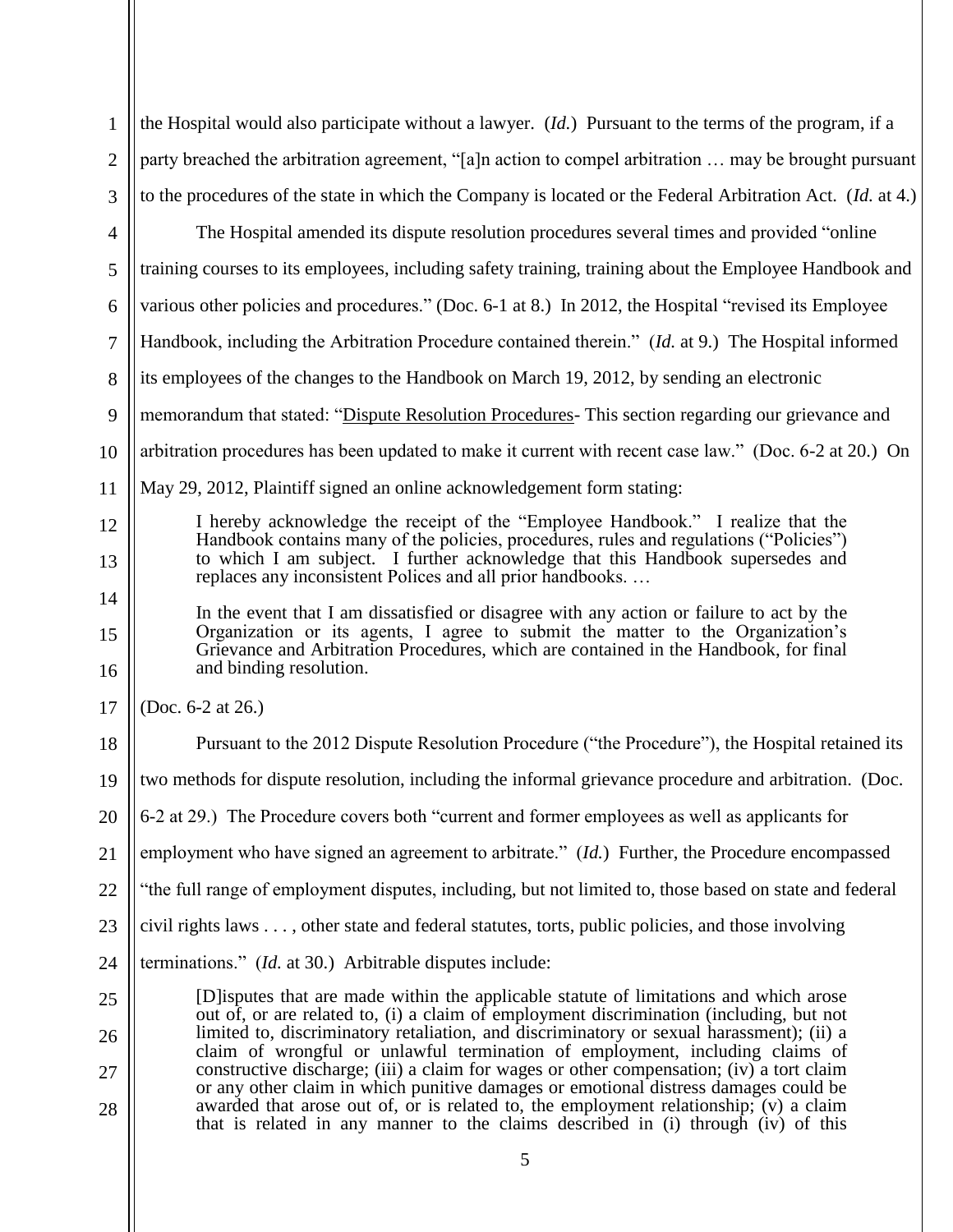| $\mathbf{1}$   | the Hospital would also participate without a lawyer. $(Id.)$ Pursuant to the terms of the program, if a                                                                                                                                                          |  |  |  |
|----------------|-------------------------------------------------------------------------------------------------------------------------------------------------------------------------------------------------------------------------------------------------------------------|--|--|--|
| $\overline{2}$ | party breached the arbitration agreement, "[a]n action to compel arbitration  may be brought pursuant                                                                                                                                                             |  |  |  |
| 3              | to the procedures of the state in which the Company is located or the Federal Arbitration Act. (Id. at 4.)                                                                                                                                                        |  |  |  |
| $\overline{4}$ | The Hospital amended its dispute resolution procedures several times and provided "online                                                                                                                                                                         |  |  |  |
| 5              | training courses to its employees, including safety training, training about the Employee Handbook and                                                                                                                                                            |  |  |  |
| 6              | various other policies and procedures." (Doc. 6-1 at 8.) In 2012, the Hospital "revised its Employee                                                                                                                                                              |  |  |  |
| 7              | Handbook, including the Arbitration Procedure contained therein." (Id. at 9.) The Hospital informed                                                                                                                                                               |  |  |  |
| 8              | its employees of the changes to the Handbook on March 19, 2012, by sending an electronic                                                                                                                                                                          |  |  |  |
| 9              | memorandum that stated: "Dispute Resolution Procedures- This section regarding our grievance and                                                                                                                                                                  |  |  |  |
| 10             | arbitration procedures has been updated to make it current with recent case law." (Doc. 6-2 at 20.) On                                                                                                                                                            |  |  |  |
| 11             | May 29, 2012, Plaintiff signed an online acknowledgement form stating:                                                                                                                                                                                            |  |  |  |
| 12             | I hereby acknowledge the receipt of the "Employee Handbook." I realize that the                                                                                                                                                                                   |  |  |  |
| 13             | Handbook contains many of the policies, procedures, rules and regulations ("Policies")<br>to which I am subject. I further acknowledge that this Handbook supersedes and<br>replaces any inconsistent Polices and all prior handbooks                             |  |  |  |
| 14             | In the event that I am dissatisfied or disagree with any action or failure to act by the                                                                                                                                                                          |  |  |  |
| 15<br>16       | Organization or its agents, I agree to submit the matter to the Organization's<br>Grievance and Arbitration Procedures, which are contained in the Handbook, for final<br>and binding resolution.                                                                 |  |  |  |
| 17             | (Doc. 6-2 at 26.)                                                                                                                                                                                                                                                 |  |  |  |
| 18             | Pursuant to the 2012 Dispute Resolution Procedure ("the Procedure"), the Hospital retained its                                                                                                                                                                    |  |  |  |
| 19             | two methods for dispute resolution, including the informal grievance procedure and arbitration. (Doc.                                                                                                                                                             |  |  |  |
| 20             | 6-2 at 29.) The Procedure covers both "current and former employees as well as applicants for                                                                                                                                                                     |  |  |  |
| 21             | employment who have signed an agreement to arbitrate." (Id.) Further, the Procedure encompassed                                                                                                                                                                   |  |  |  |
| 22             | "the full range of employment disputes, including, but not limited to, those based on state and federal                                                                                                                                                           |  |  |  |
| 23             | civil rights laws , other state and federal statutes, torts, public policies, and those involving                                                                                                                                                                 |  |  |  |
| 24             | terminations." ( <i>Id.</i> at 30.) Arbitrable disputes include:                                                                                                                                                                                                  |  |  |  |
| 25             | [D] isputes that are made within the applicable statute of limitations and which arose                                                                                                                                                                            |  |  |  |
| 26             | out of, or are related to, (i) a claim of employment discrimination (including, but not<br>limited to, discriminatory retaliation, and discriminatory or sexual harassment); (ii) a                                                                               |  |  |  |
| 27             | claim of wrongful or unlawful termination of employment, including claims of<br>constructive discharge; (iii) a claim for wages or other compensation; (iv) a tort claim                                                                                          |  |  |  |
| 28             | or any other claim in which punitive damages or emotional distress damages could be<br>awarded that arose out of, or is related to, the employment relationship; (v) a claim<br>that is related in any manner to the claims described in (i) through (iv) of this |  |  |  |
|                | 5                                                                                                                                                                                                                                                                 |  |  |  |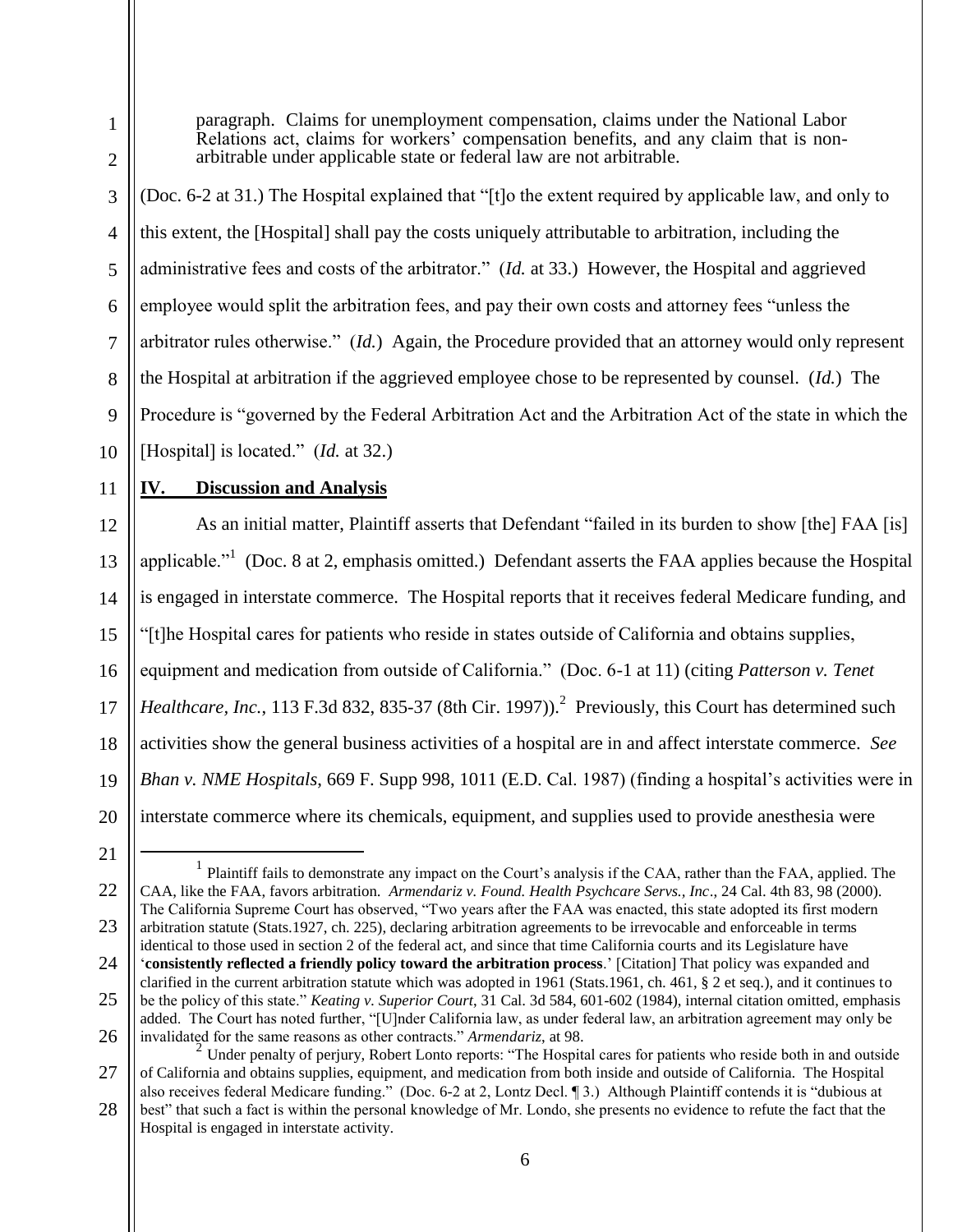Relations act, claims for workers' compensation benefits, and any claim that is nonarbitrable under applicable state or federal law are not arbitrable. (Doc. 6-2 at 31.) The Hospital explained that "[t]o the extent required by applicable law, and only to this extent, the [Hospital] shall pay the costs uniquely attributable to arbitration, including the administrative fees and costs of the arbitrator." (*Id.* at 33.) However, the Hospital and aggrieved employee would split the arbitration fees, and pay their own costs and attorney fees "unless the

paragraph. Claims for unemployment compensation, claims under the National Labor

arbitrator rules otherwise." (*Id.*) Again, the Procedure provided that an attorney would only represent

the Hospital at arbitration if the aggrieved employee chose to be represented by counsel. (*Id.*) The

9 Procedure is "governed by the Federal Arbitration Act and the Arbitration Act of the state in which the

10 [Hospital] is located." (*Id.* at 32.)

11

1

2

3

4

5

6

7

8

# **IV. Discussion and Analysis**

12 13 14 15 16 17 18 19 20 As an initial matter, Plaintiff asserts that Defendant "failed in its burden to show [the] FAA [is] applicable."<sup>1</sup> (Doc. 8 at 2, emphasis omitted.) Defendant asserts the FAA applies because the Hospital is engaged in interstate commerce. The Hospital reports that it receives federal Medicare funding, and "[t]he Hospital cares for patients who reside in states outside of California and obtains supplies, equipment and medication from outside of California." (Doc. 6-1 at 11) (citing *Patterson v. Tenet*  Healthcare, Inc., 113 F.3d 832, 835-37 (8th Cir. 1997)).<sup>2</sup> Previously, this Court has determined such activities show the general business activities of a hospital are in and affect interstate commerce. *See Bhan v. NME Hospitals*, 669 F. Supp 998, 1011 (E.D. Cal. 1987) (finding a hospital's activities were in interstate commerce where its chemicals, equipment, and supplies used to provide anesthesia were

21

 $\overline{a}$ 

22 23 24 1 Plaintiff fails to demonstrate any impact on the Court's analysis if the CAA, rather than the FAA, applied. The CAA, like the FAA, favors arbitration. *Armendariz v. Found. Health Psychcare Servs., Inc*., 24 Cal. 4th 83, 98 (2000). The California Supreme Court has observed, "Two years after the FAA was enacted, this state adopted its first modern arbitration statute (Stats.1927, ch. 225), declaring arbitration agreements to be irrevocable and enforceable in terms identical to those used in section 2 of the federal act, and since that time California courts and its Legislature have '**consistently reflected a friendly policy toward the arbitration process**.' [Citation] That policy was expanded and

25 26 clarified in the current arbitration statute which was adopted in 1961 (Stats.1961, ch. 461, § 2 et seq.), and it continues to be the policy of this state." *Keating v. Superior Court*, 31 Cal. 3d 584, 601-602 (1984), internal citation omitted, emphasis added. The Court has noted further, "[U]nder California law, as under federal law, an arbitration agreement may only be invalidated for the same reasons as other contracts." *Armendariz*, at 98. 2

Hospital is engaged in interstate activity.

<sup>27</sup> 28 Under penalty of perjury, Robert Lonto reports: "The Hospital cares for patients who reside both in and outside of California and obtains supplies, equipment, and medication from both inside and outside of California. The Hospital also receives federal Medicare funding." (Doc. 6-2 at 2, Lontz Decl. ¶ 3.) Although Plaintiff contends it is "dubious at best" that such a fact is within the personal knowledge of Mr. Londo, she presents no evidence to refute the fact that the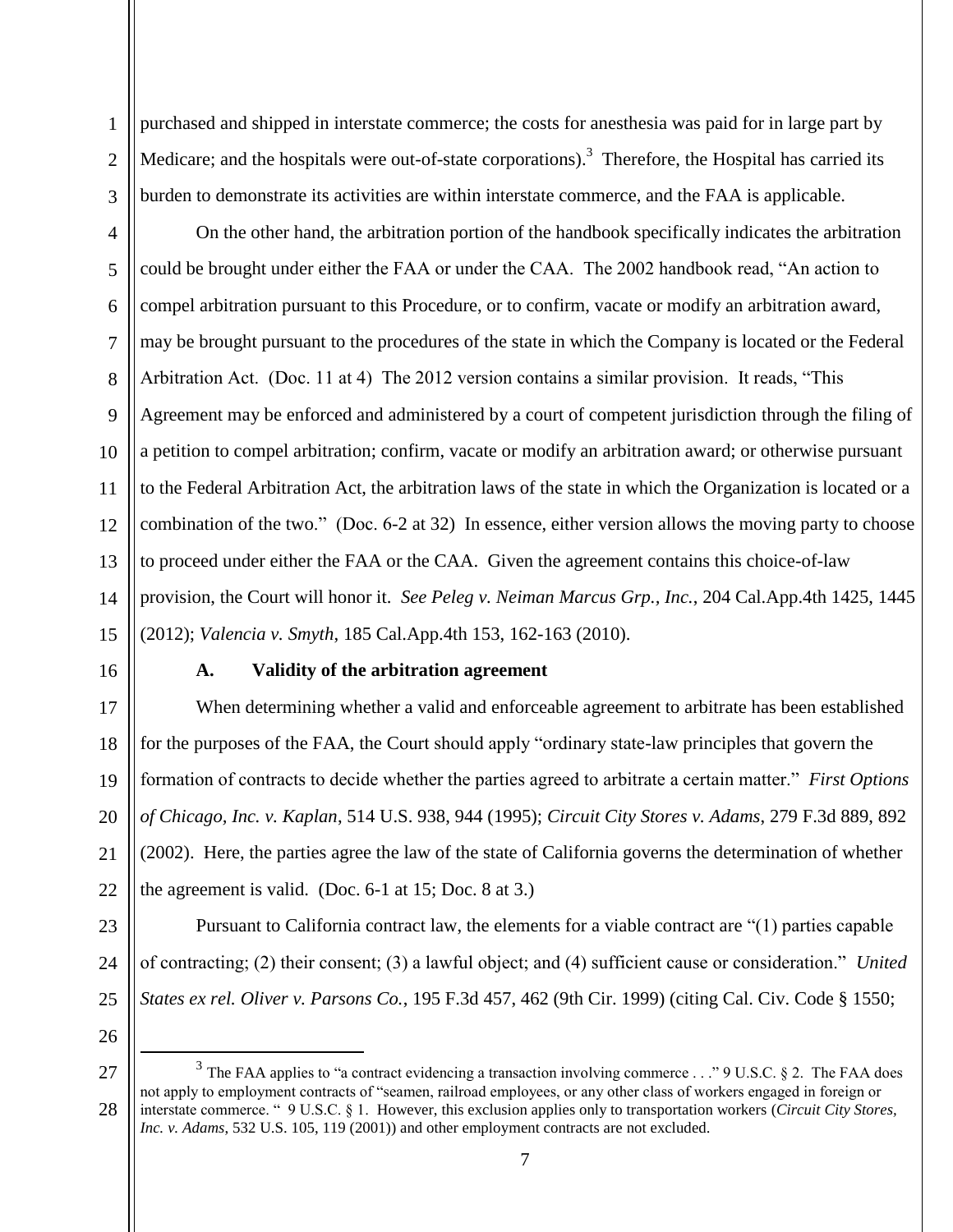purchased and shipped in interstate commerce; the costs for anesthesia was paid for in large part by Medicare; and the hospitals were out-of-state corporations).<sup>3</sup> Therefore, the Hospital has carried its burden to demonstrate its activities are within interstate commerce, and the FAA is applicable.

4 5 6 7 8 9 10 11 12 13 14 15 On the other hand, the arbitration portion of the handbook specifically indicates the arbitration could be brought under either the FAA or under the CAA. The 2002 handbook read, "An action to compel arbitration pursuant to this Procedure, or to confirm, vacate or modify an arbitration award, may be brought pursuant to the procedures of the state in which the Company is located or the Federal Arbitration Act. (Doc. 11 at 4) The 2012 version contains a similar provision. It reads, "This Agreement may be enforced and administered by a court of competent jurisdiction through the filing of a petition to compel arbitration; confirm, vacate or modify an arbitration award; or otherwise pursuant to the Federal Arbitration Act, the arbitration laws of the state in which the Organization is located or a combination of the two." (Doc. 6-2 at 32) In essence, either version allows the moving party to choose to proceed under either the FAA or the CAA. Given the agreement contains this choice-of-law provision, the Court will honor it. *See Peleg v. Neiman Marcus Grp., Inc.*, 204 Cal.App.4th 1425, 1445 (2012); *Valencia v. Smyth*, 185 Cal.App.4th 153, 162-163 (2010).

16

17

18

19

20

21

22

1

2

3

### **A. Validity of the arbitration agreement**

When determining whether a valid and enforceable agreement to arbitrate has been established for the purposes of the FAA, the Court should apply "ordinary state-law principles that govern the formation of contracts to decide whether the parties agreed to arbitrate a certain matter." *First Options of Chicago, Inc. v. Kaplan*, 514 U.S. 938, 944 (1995); *Circuit City Stores v. Adams*, 279 F.3d 889, 892 (2002). Here, the parties agree the law of the state of California governs the determination of whether the agreement is valid. (Doc.  $6-1$  at 15; Doc.  $8$  at 3.)

23 24 25 Pursuant to California contract law, the elements for a viable contract are "(1) parties capable of contracting; (2) their consent; (3) a lawful object; and (4) sufficient cause or consideration." *United States ex rel. Oliver v. Parsons Co.*, 195 F.3d 457, 462 (9th Cir. 1999) (citing Cal. Civ. Code § 1550;

26

 $\overline{a}$ 

<sup>27</sup> 28 <sup>3</sup> The FAA applies to "a contract evidencing a transaction involving commerce . . ." 9 U.S.C. § 2. The FAA does not apply to employment contracts of "seamen, railroad employees, or any other class of workers engaged in foreign or interstate commerce. " 9 U.S.C. § 1. However, this exclusion applies only to transportation workers (*Circuit City Stores, Inc. v. Adams*, 532 U.S. 105, 119 (2001)) and other employment contracts are not excluded.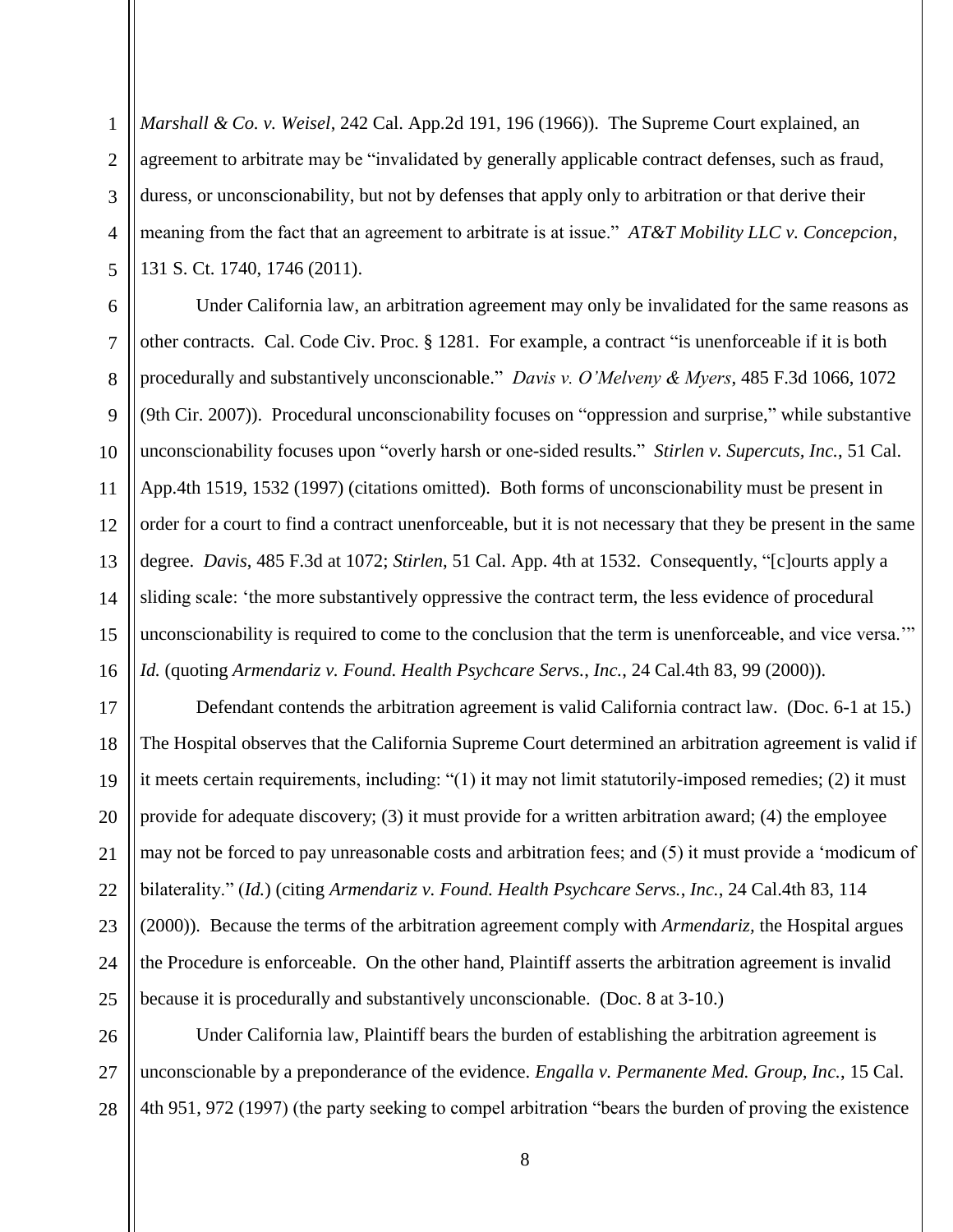1

*Marshall & Co. v. Weisel*, 242 Cal. App.2d 191, 196 (1966)). The Supreme Court explained, an agreement to arbitrate may be "invalidated by generally applicable contract defenses, such as fraud, duress, or unconscionability, but not by defenses that apply only to arbitration or that derive their meaning from the fact that an agreement to arbitrate is at issue." *AT&T Mobility LLC v. Concepcion*, 131 S. Ct. 1740, 1746 (2011).

Under California law, an arbitration agreement may only be invalidated for the same reasons as other contracts. Cal. Code Civ. Proc. § 1281. For example, a contract "is unenforceable if it is both procedurally and substantively unconscionable." *Davis v. O'Melveny & Myers*, 485 F.3d 1066, 1072 (9th Cir. 2007)). Procedural unconscionability focuses on "oppression and surprise," while substantive unconscionability focuses upon "overly harsh or one-sided results." *Stirlen v. Supercuts, Inc.*, 51 Cal. App.4th 1519, 1532 (1997) (citations omitted). Both forms of unconscionability must be present in order for a court to find a contract unenforceable, but it is not necessary that they be present in the same degree. *Davis*, 485 F.3d at 1072; *Stirlen*, 51 Cal. App. 4th at 1532. Consequently, "[c]ourts apply a sliding scale: 'the more substantively oppressive the contract term, the less evidence of procedural unconscionability is required to come to the conclusion that the term is unenforceable, and vice versa.'" *Id.* (quoting *Armendariz v. Found. Health Psychcare Servs.*, *Inc.*, 24 Cal.4th 83, 99 (2000)).

Defendant contends the arbitration agreement is valid California contract law. (Doc. 6-1 at 15.) The Hospital observes that the California Supreme Court determined an arbitration agreement is valid if it meets certain requirements, including: "(1) it may not limit statutorily-imposed remedies; (2) it must provide for adequate discovery; (3) it must provide for a written arbitration award; (4) the employee may not be forced to pay unreasonable costs and arbitration fees; and (5) it must provide a 'modicum of bilaterality." (*Id.*) (citing *Armendariz v. Found. Health Psychcare Servs.*, *Inc.*, 24 Cal.4th 83, 114 (2000)). Because the terms of the arbitration agreement comply with *Armendariz,* the Hospital argues the Procedure is enforceable. On the other hand, Plaintiff asserts the arbitration agreement is invalid because it is procedurally and substantively unconscionable. (Doc. 8 at 3-10.)

Under California law, Plaintiff bears the burden of establishing the arbitration agreement is unconscionable by a preponderance of the evidence. *Engalla v. Permanente Med. Group, Inc.*, 15 Cal. 4th 951, 972 (1997) (the party seeking to compel arbitration "bears the burden of proving the existence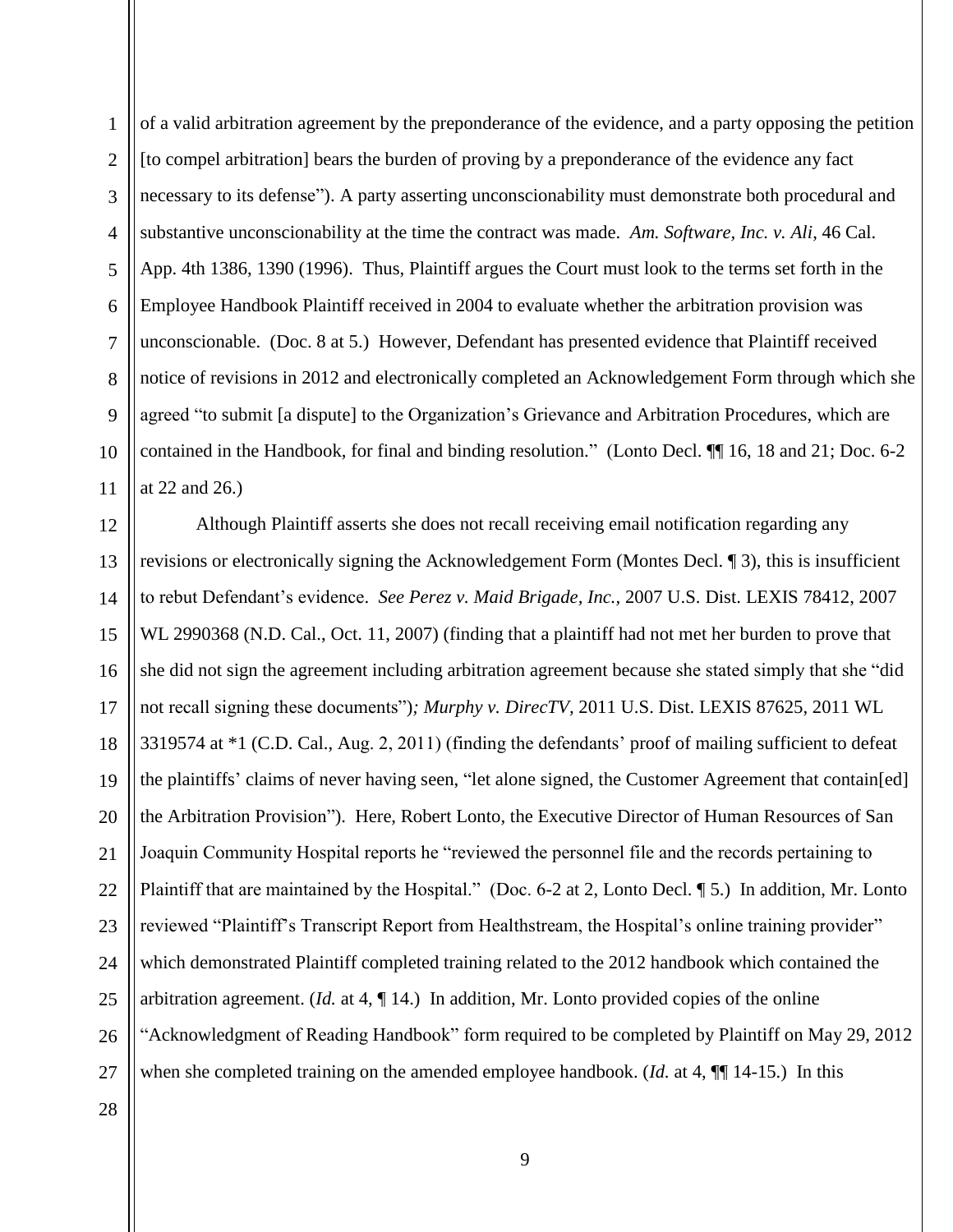1 2 3 4 5 6 7 8 9 10 11 of a valid arbitration agreement by the preponderance of the evidence, and a party opposing the petition [to compel arbitration] bears the burden of proving by a preponderance of the evidence any fact necessary to its defense"). A party asserting unconscionability must demonstrate both procedural and substantive unconscionability at the time the contract was made. *Am. Software, Inc. v. Ali*, 46 Cal. App. 4th 1386, 1390 (1996). Thus, Plaintiff argues the Court must look to the terms set forth in the Employee Handbook Plaintiff received in 2004 to evaluate whether the arbitration provision was unconscionable. (Doc. 8 at 5.) However, Defendant has presented evidence that Plaintiff received notice of revisions in 2012 and electronically completed an Acknowledgement Form through which she agreed "to submit [a dispute] to the Organization's Grievance and Arbitration Procedures, which are contained in the Handbook, for final and binding resolution." (Lonto Decl. ¶¶ 16, 18 and 21; Doc. 6-2 at 22 and 26.)

12 13 14 15 16 17 18 19 20 21 22 23 24 25 26 27 28 Although Plaintiff asserts she does not recall receiving email notification regarding any revisions or electronically signing the Acknowledgement Form (Montes Decl. ¶ 3), this is insufficient to rebut Defendant's evidence. *See Perez v. Maid Brigade, Inc.,* 2007 U.S. Dist. LEXIS 78412, 2007 WL 2990368 (N.D. Cal., Oct. 11, 2007) (finding that a plaintiff had not met her burden to prove that she did not sign the agreement including arbitration agreement because she stated simply that she "did not recall signing these documents")*; Murphy v. DirecTV,* 2011 U.S. Dist. LEXIS 87625, 2011 WL 3319574 at \*1 (C.D. Cal., Aug. 2, 2011) (finding the defendants' proof of mailing sufficient to defeat the plaintiffs' claims of never having seen, "let alone signed, the Customer Agreement that contain[ed] the Arbitration Provision"). Here, Robert Lonto, the Executive Director of Human Resources of San Joaquin Community Hospital reports he "reviewed the personnel file and the records pertaining to Plaintiff that are maintained by the Hospital." (Doc. 6-2 at 2, Lonto Decl. ¶ 5.) In addition, Mr. Lonto reviewed "Plaintiff's Transcript Report from Healthstream, the Hospital's online training provider" which demonstrated Plaintiff completed training related to the 2012 handbook which contained the arbitration agreement. (*Id.* at 4, ¶ 14.) In addition, Mr. Lonto provided copies of the online "Acknowledgment of Reading Handbook" form required to be completed by Plaintiff on May 29, 2012 when she completed training on the amended employee handbook. (*Id.* at 4,  $\P$ ] 14-15.) In this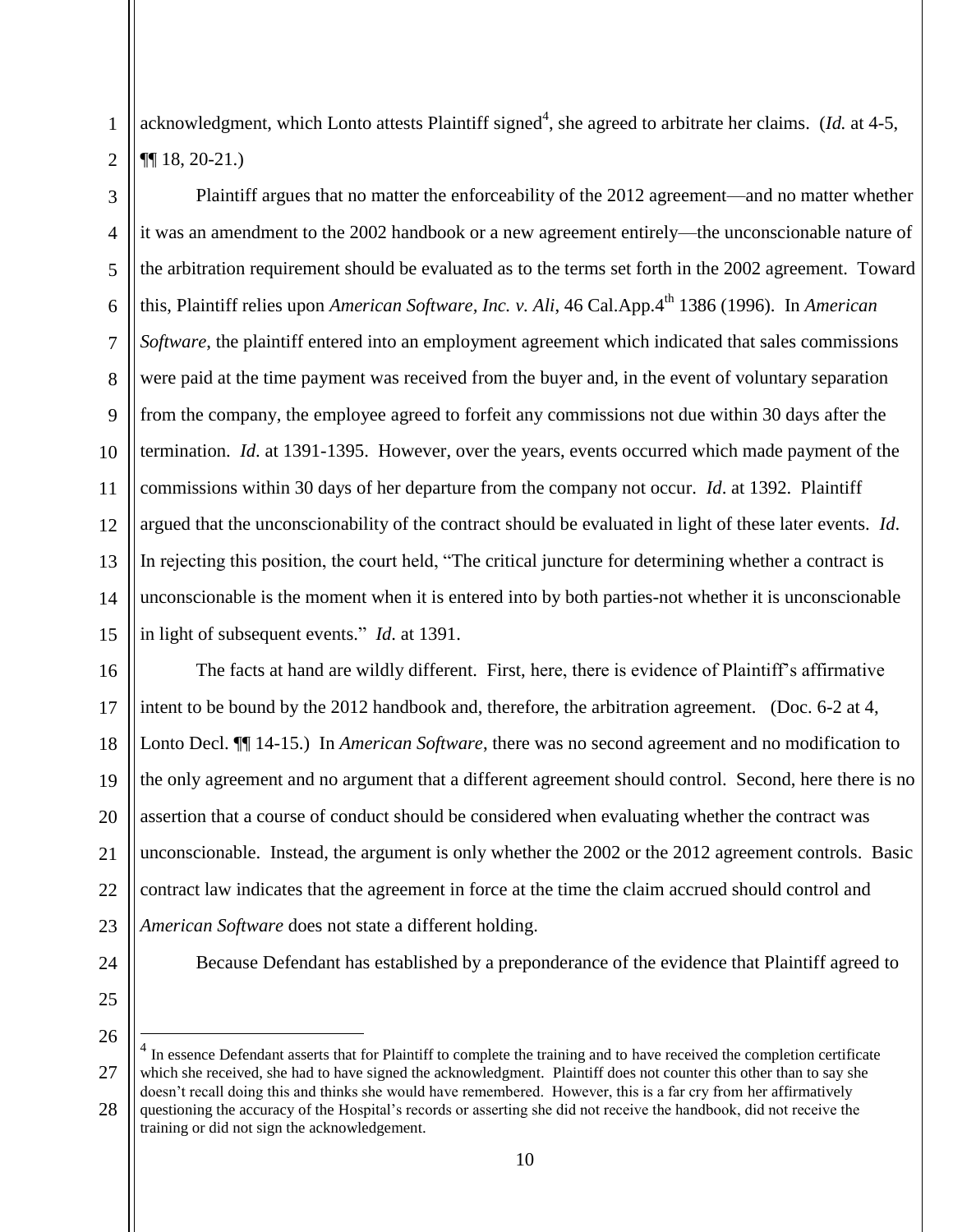acknowledgment, which Lonto attests Plaintiff signed<sup>4</sup>, she agreed to arbitrate her claims. (*Id.* at 4-5, ¶¶ 18, 20-21.)

3 4 5 6 7 8 9 10 11 12 13 14 15 Plaintiff argues that no matter the enforceability of the 2012 agreement—and no matter whether it was an amendment to the 2002 handbook or a new agreement entirely—the unconscionable nature of the arbitration requirement should be evaluated as to the terms set forth in the 2002 agreement. Toward this, Plaintiff relies upon *American Software, Inc. v. Ali*, 46 Cal.App.4<sup>th</sup> 1386 (1996). In *American Software*, the plaintiff entered into an employment agreement which indicated that sales commissions were paid at the time payment was received from the buyer and, in the event of voluntary separation from the company, the employee agreed to forfeit any commissions not due within 30 days after the termination. *Id*. at 1391-1395. However, over the years, events occurred which made payment of the commissions within 30 days of her departure from the company not occur. *Id*. at 1392. Plaintiff argued that the unconscionability of the contract should be evaluated in light of these later events. *Id*. In rejecting this position, the court held, "The critical juncture for determining whether a contract is unconscionable is the moment when it is entered into by both parties-not whether it is unconscionable in light of subsequent events." *Id*. at 1391.

16 17 18 19 20 21 22 23 The facts at hand are wildly different. First, here, there is evidence of Plaintiff's affirmative intent to be bound by the 2012 handbook and, therefore, the arbitration agreement. (Doc. 6-2 at 4, Lonto Decl. ¶¶ 14-15.) In *American Software*, there was no second agreement and no modification to the only agreement and no argument that a different agreement should control. Second, here there is no assertion that a course of conduct should be considered when evaluating whether the contract was unconscionable. Instead, the argument is only whether the 2002 or the 2012 agreement controls. Basic contract law indicates that the agreement in force at the time the claim accrued should control and *American Software* does not state a different holding.

24

1

2

25

26

 $\overline{a}$ 

Because Defendant has established by a preponderance of the evidence that Plaintiff agreed to

27 28 4 In essence Defendant asserts that for Plaintiff to complete the training and to have received the completion certificate which she received, she had to have signed the acknowledgment. Plaintiff does not counter this other than to say she doesn't recall doing this and thinks she would have remembered. However, this is a far cry from her affirmatively questioning the accuracy of the Hospital's records or asserting she did not receive the handbook, did not receive the training or did not sign the acknowledgement.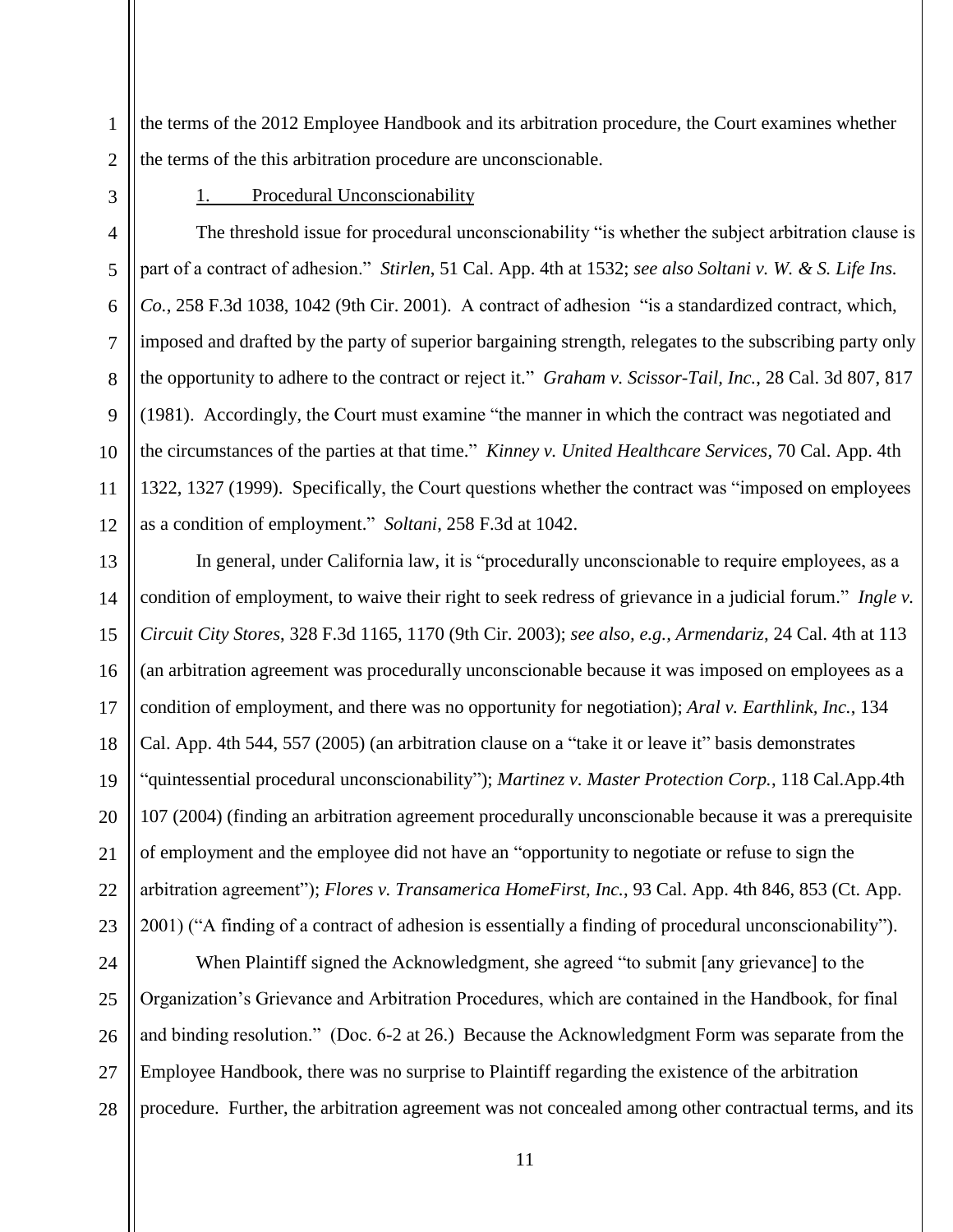1 2 the terms of the 2012 Employee Handbook and its arbitration procedure, the Court examines whether the terms of the this arbitration procedure are unconscionable.

3

4

5

6

7

8

9

10

11

12

#### 1. Procedural Unconscionability

The threshold issue for procedural unconscionability "is whether the subject arbitration clause is part of a contract of adhesion." *Stirlen*, 51 Cal. App. 4th at 1532; *see also Soltani v. W. & S. Life Ins. Co.*, 258 F.3d 1038, 1042 (9th Cir. 2001). A contract of adhesion "is a standardized contract, which, imposed and drafted by the party of superior bargaining strength, relegates to the subscribing party only the opportunity to adhere to the contract or reject it." *Graham v. Scissor-Tail, Inc.*, 28 Cal. 3d 807, 817 (1981). Accordingly, the Court must examine "the manner in which the contract was negotiated and the circumstances of the parties at that time." *Kinney v. United Healthcare Services*, 70 Cal. App. 4th 1322, 1327 (1999). Specifically, the Court questions whether the contract was "imposed on employees as a condition of employment." *Soltani*, 258 F.3d at 1042.

13 14 15 16 17 18 19 20 21 22 23 In general, under California law, it is "procedurally unconscionable to require employees, as a condition of employment, to waive their right to seek redress of grievance in a judicial forum." *Ingle v. Circuit City Stores*, 328 F.3d 1165, 1170 (9th Cir. 2003); *see also, e.g., Armendariz*, 24 Cal. 4th at 113 (an arbitration agreement was procedurally unconscionable because it was imposed on employees as a condition of employment, and there was no opportunity for negotiation); *Aral v. Earthlink, Inc.*, 134 Cal. App. 4th 544, 557 (2005) (an arbitration clause on a "take it or leave it" basis demonstrates "quintessential procedural unconscionability"); *Martinez v. Master Protection Corp.*, 118 Cal.App.4th 107 (2004) (finding an arbitration agreement procedurally unconscionable because it was a prerequisite of employment and the employee did not have an "opportunity to negotiate or refuse to sign the arbitration agreement"); *Flores v. Transamerica HomeFirst, Inc.*, 93 Cal. App. 4th 846, 853 (Ct. App. 2001) ("A finding of a contract of adhesion is essentially a finding of procedural unconscionability").

24 25 26 27 28 When Plaintiff signed the Acknowledgment, she agreed "to submit [any grievance] to the Organization's Grievance and Arbitration Procedures, which are contained in the Handbook, for final and binding resolution." (Doc. 6-2 at 26.) Because the Acknowledgment Form was separate from the Employee Handbook, there was no surprise to Plaintiff regarding the existence of the arbitration procedure. Further, the arbitration agreement was not concealed among other contractual terms, and its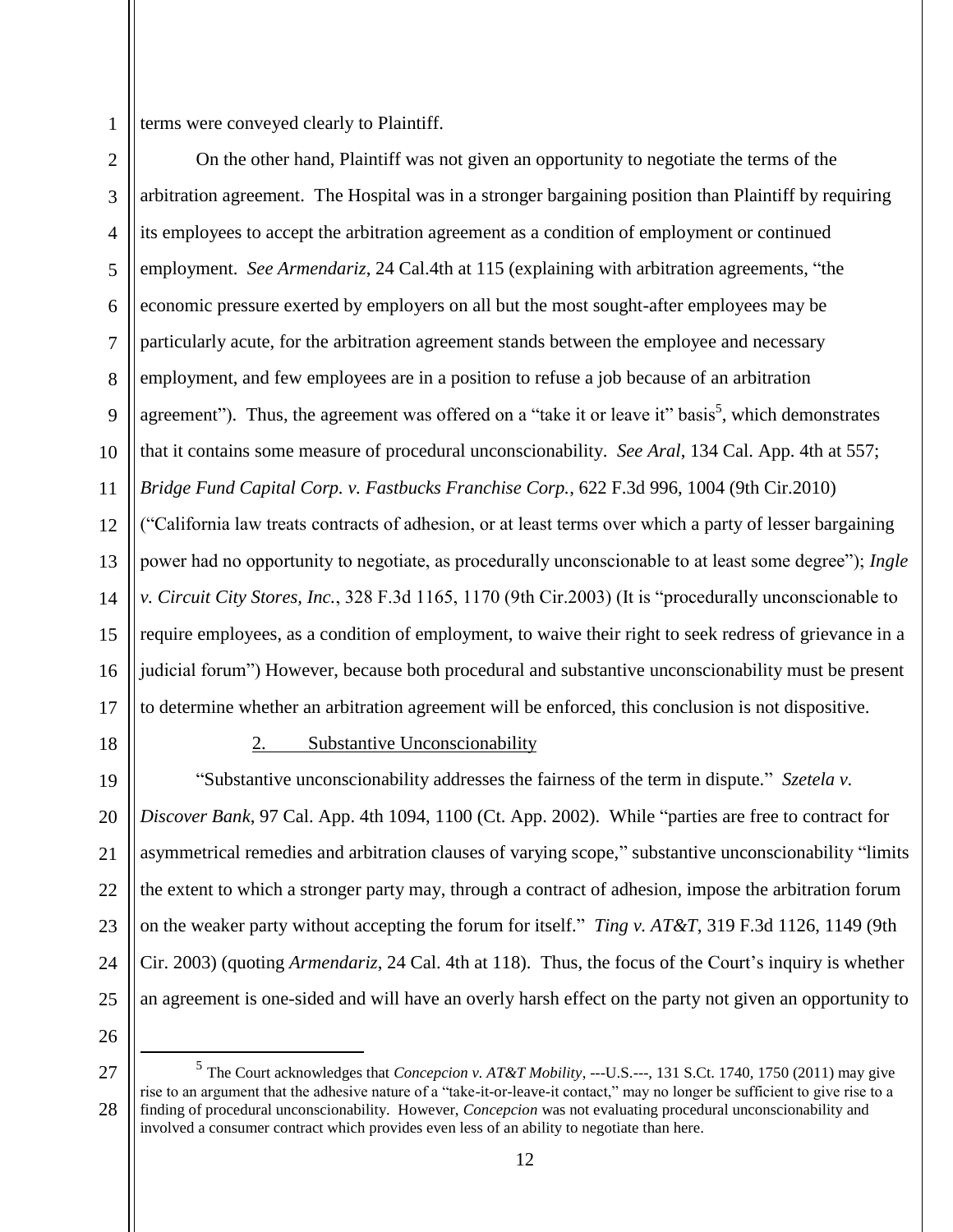1

terms were conveyed clearly to Plaintiff.

2 3 4 5 6 7 8 9 10 11 12 13 14 15 16 17 On the other hand, Plaintiff was not given an opportunity to negotiate the terms of the arbitration agreement. The Hospital was in a stronger bargaining position than Plaintiff by requiring its employees to accept the arbitration agreement as a condition of employment or continued employment. *See Armendariz*, 24 Cal.4th at 115 (explaining with arbitration agreements, "the economic pressure exerted by employers on all but the most sought-after employees may be particularly acute, for the arbitration agreement stands between the employee and necessary employment, and few employees are in a position to refuse a job because of an arbitration agreement"). Thus, the agreement was offered on a "take it or leave it" basis<sup>5</sup>, which demonstrates that it contains some measure of procedural unconscionability. *See Aral*, 134 Cal. App. 4th at 557; *Bridge Fund Capital Corp. v. Fastbucks Franchise Corp.*, 622 F.3d 996, 1004 (9th Cir.2010) ("California law treats contracts of adhesion, or at least terms over which a party of lesser bargaining power had no opportunity to negotiate, as procedurally unconscionable to at least some degree"); *Ingle v. Circuit City Stores, Inc.*, 328 F.3d 1165, 1170 (9th Cir.2003) (It is "procedurally unconscionable to require employees, as a condition of employment, to waive their right to seek redress of grievance in a judicial forum") However, because both procedural and substantive unconscionability must be present to determine whether an arbitration agreement will be enforced, this conclusion is not dispositive.

18

### 2. Substantive Unconscionability

19 20 21 22 23 24 25 "Substantive unconscionability addresses the fairness of the term in dispute." *Szetela v. Discover Bank*, 97 Cal. App. 4th 1094, 1100 (Ct. App. 2002). While "parties are free to contract for asymmetrical remedies and arbitration clauses of varying scope," substantive unconscionability "limits the extent to which a stronger party may, through a contract of adhesion, impose the arbitration forum on the weaker party without accepting the forum for itself." *Ting v. AT&T*, 319 F.3d 1126, 1149 (9th Cir. 2003) (quoting *Armendariz*, 24 Cal. 4th at 118). Thus, the focus of the Court's inquiry is whether an agreement is one-sided and will have an overly harsh effect on the party not given an opportunity to

26

 $\overline{a}$ 

<sup>27</sup> 28 5 The Court acknowledges that *Concepcion v. AT&T Mobility*, ---U.S.---, 131 S.Ct. 1740, 1750 (2011) may give rise to an argument that the adhesive nature of a "take-it-or-leave-it contact," may no longer be sufficient to give rise to a finding of procedural unconscionability. However, *Concepcion* was not evaluating procedural unconscionability and involved a consumer contract which provides even less of an ability to negotiate than here.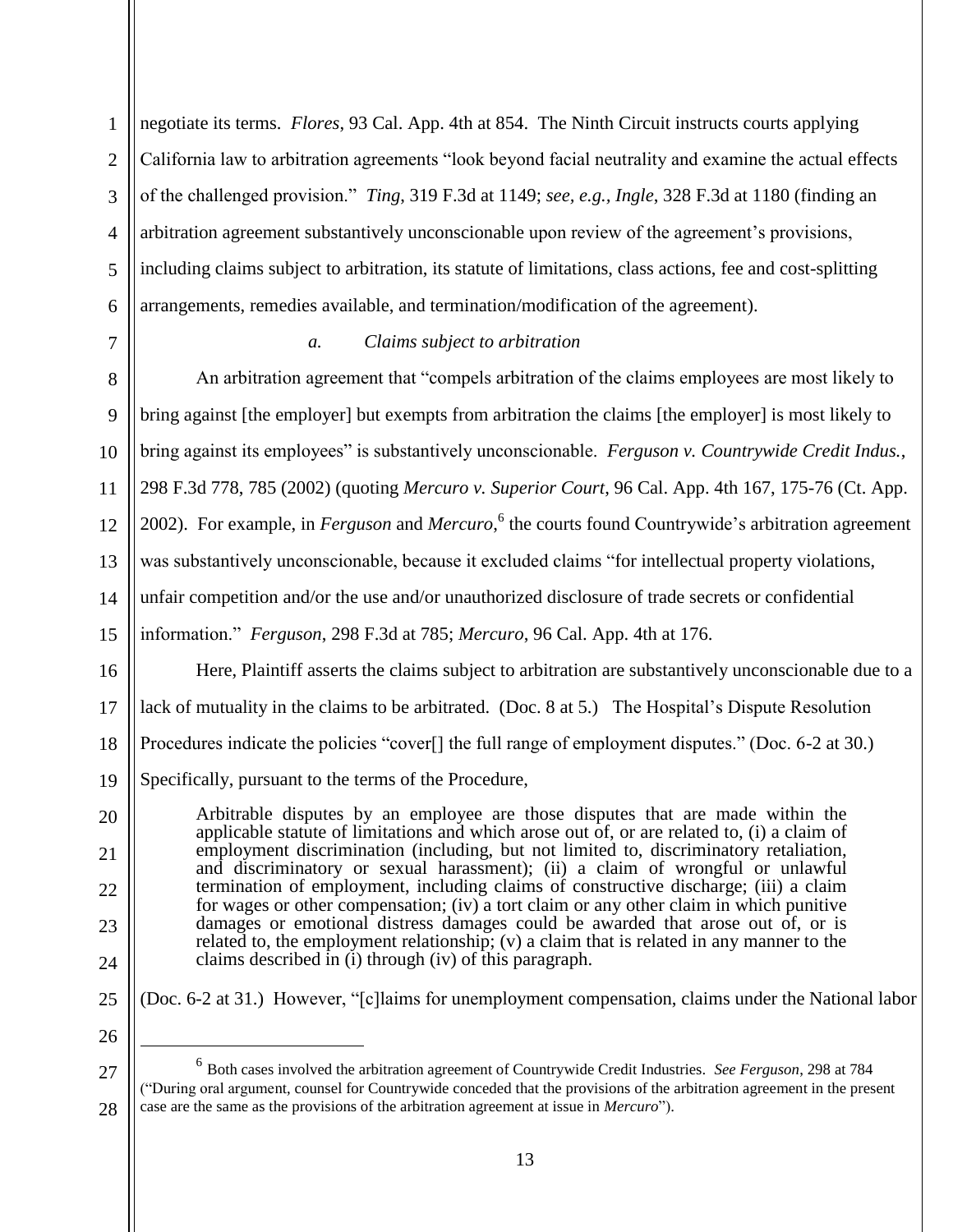1 2 3 4 5 6 negotiate its terms. *Flores*, 93 Cal. App. 4th at 854. The Ninth Circuit instructs courts applying California law to arbitration agreements "look beyond facial neutrality and examine the actual effects of the challenged provision." *Ting*, 319 F.3d at 1149; *see, e.g., Ingle*, 328 F.3d at 1180 (finding an arbitration agreement substantively unconscionable upon review of the agreement's provisions, including claims subject to arbitration, its statute of limitations, class actions, fee and cost-splitting arrangements, remedies available, and termination/modification of the agreement).

7

8

9

11

13

## *a. Claims subject to arbitration*

10 12 14 15 An arbitration agreement that "compels arbitration of the claims employees are most likely to bring against [the employer] but exempts from arbitration the claims [the employer] is most likely to bring against its employees" is substantively unconscionable. *Ferguson v. Countrywide Credit Indus.*, 298 F.3d 778, 785 (2002) (quoting *Mercuro v. Superior Court*, 96 Cal. App. 4th 167, 175-76 (Ct. App. 2002). For example, in *Ferguson* and *Mercuro*, 6 the courts found Countrywide's arbitration agreement was substantively unconscionable, because it excluded claims "for intellectual property violations, unfair competition and/or the use and/or unauthorized disclosure of trade secrets or confidential

information." *Ferguson*, 298 F.3d at 785; *Mercuro*, 96 Cal. App. 4th at 176.

16 17 18 19 Here, Plaintiff asserts the claims subject to arbitration are substantively unconscionable due to a lack of mutuality in the claims to be arbitrated. (Doc. 8 at 5.) The Hospital's Dispute Resolution Procedures indicate the policies "cover<sup>[]</sup> the full range of employment disputes." (Doc. 6-2 at 30.) Specifically, pursuant to the terms of the Procedure,

Arbitrable disputes by an employee are those disputes that are made within the applicable statute of limitations and which arose out of, or are related to, (i) a claim of employment discrimination (including, but not limited to, discriminatory retaliation, and discriminatory or sexual harassment); (ii) a claim of wrongful or unlawful termination of employment, including claims of constructive discharge; (iii) a claim for wages or other compensation; (iv) a tort claim or any other claim in which punitive damages or emotional distress damages could be awarded that arose out of, or is related to, the employment relationship; (v) a claim that is related in any manner to the claims described in (i) through (iv) of this paragraph.

(Doc. 6-2 at 31.) However, "[c]laims for unemployment compensation, claims under the National labor

25 26

 $\overline{a}$ 

27

28

20

21

22

23

<sup>6</sup> Both cases involved the arbitration agreement of Countrywide Credit Industries. *See Ferguson*, 298 at 784 ("During oral argument, counsel for Countrywide conceded that the provisions of the arbitration agreement in the present case are the same as the provisions of the arbitration agreement at issue in *Mercuro*").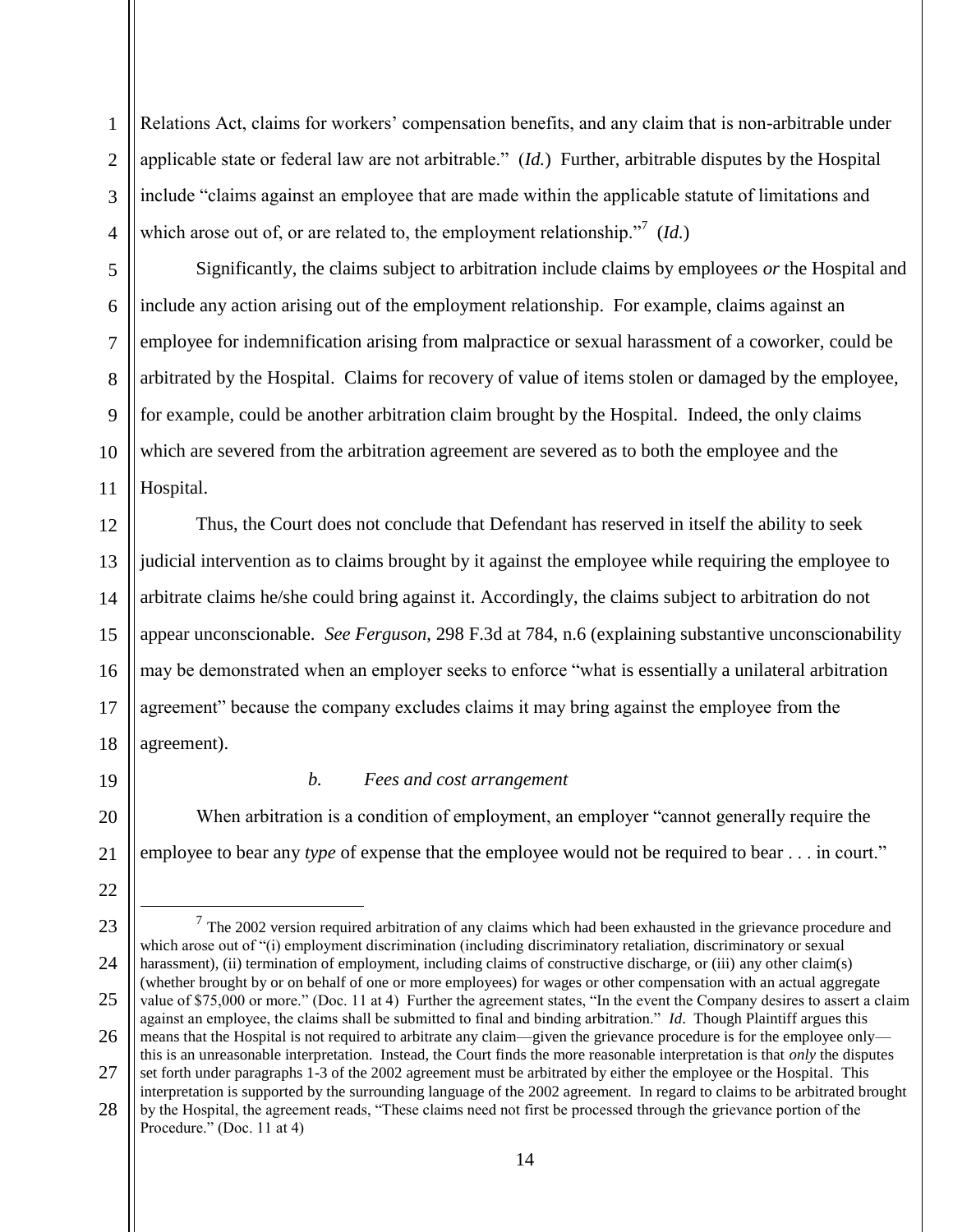Relations Act, claims for workers' compensation benefits, and any claim that is non-arbitrable under applicable state or federal law are not arbitrable." (*Id.*) Further, arbitrable disputes by the Hospital include "claims against an employee that are made within the applicable statute of limitations and which arose out of, or are related to, the employment relationship.<sup>"7</sup> (*Id.*)

Significantly, the claims subject to arbitration include claims by employees *or* the Hospital and include any action arising out of the employment relationship. For example, claims against an employee for indemnification arising from malpractice or sexual harassment of a coworker, could be arbitrated by the Hospital. Claims for recovery of value of items stolen or damaged by the employee, for example, could be another arbitration claim brought by the Hospital. Indeed, the only claims which are severed from the arbitration agreement are severed as to both the employee and the Hospital.

12 13 14 15 16 17 18 Thus, the Court does not conclude that Defendant has reserved in itself the ability to seek judicial intervention as to claims brought by it against the employee while requiring the employee to arbitrate claims he/she could bring against it. Accordingly, the claims subject to arbitration do not appear unconscionable. *See Ferguson*, 298 F.3d at 784, n.6 (explaining substantive unconscionability may be demonstrated when an employer seeks to enforce "what is essentially a unilateral arbitration agreement" because the company excludes claims it may bring against the employee from the agreement).

19

20

21

22

1

2

3

4

5

6

7

8

9

10

11

## *b. Fees and cost arrangement*

When arbitration is a condition of employment, an employer "cannot generally require the employee to bear any *type* of expense that the employee would not be required to bear . . . in court."

<sup>23</sup> 24 25 26 27 28  $\overline{a}$  $<sup>7</sup>$  The 2002 version required arbitration of any claims which had been exhausted in the grievance procedure and</sup> which arose out of "(i) employment discrimination (including discriminatory retaliation, discriminatory or sexual harassment), (ii) termination of employment, including claims of constructive discharge, or (iii) any other claim(s) (whether brought by or on behalf of one or more employees) for wages or other compensation with an actual aggregate value of \$75,000 or more." (Doc. 11 at 4) Further the agreement states, "In the event the Company desires to assert a claim against an employee, the claims shall be submitted to final and binding arbitration." *Id*. Though Plaintiff argues this means that the Hospital is not required to arbitrate any claim—given the grievance procedure is for the employee only this is an unreasonable interpretation. Instead, the Court finds the more reasonable interpretation is that *only* the disputes set forth under paragraphs 1-3 of the 2002 agreement must be arbitrated by either the employee or the Hospital. This interpretation is supported by the surrounding language of the 2002 agreement. In regard to claims to be arbitrated brought by the Hospital, the agreement reads, "These claims need not first be processed through the grievance portion of the Procedure." (Doc. 11 at 4)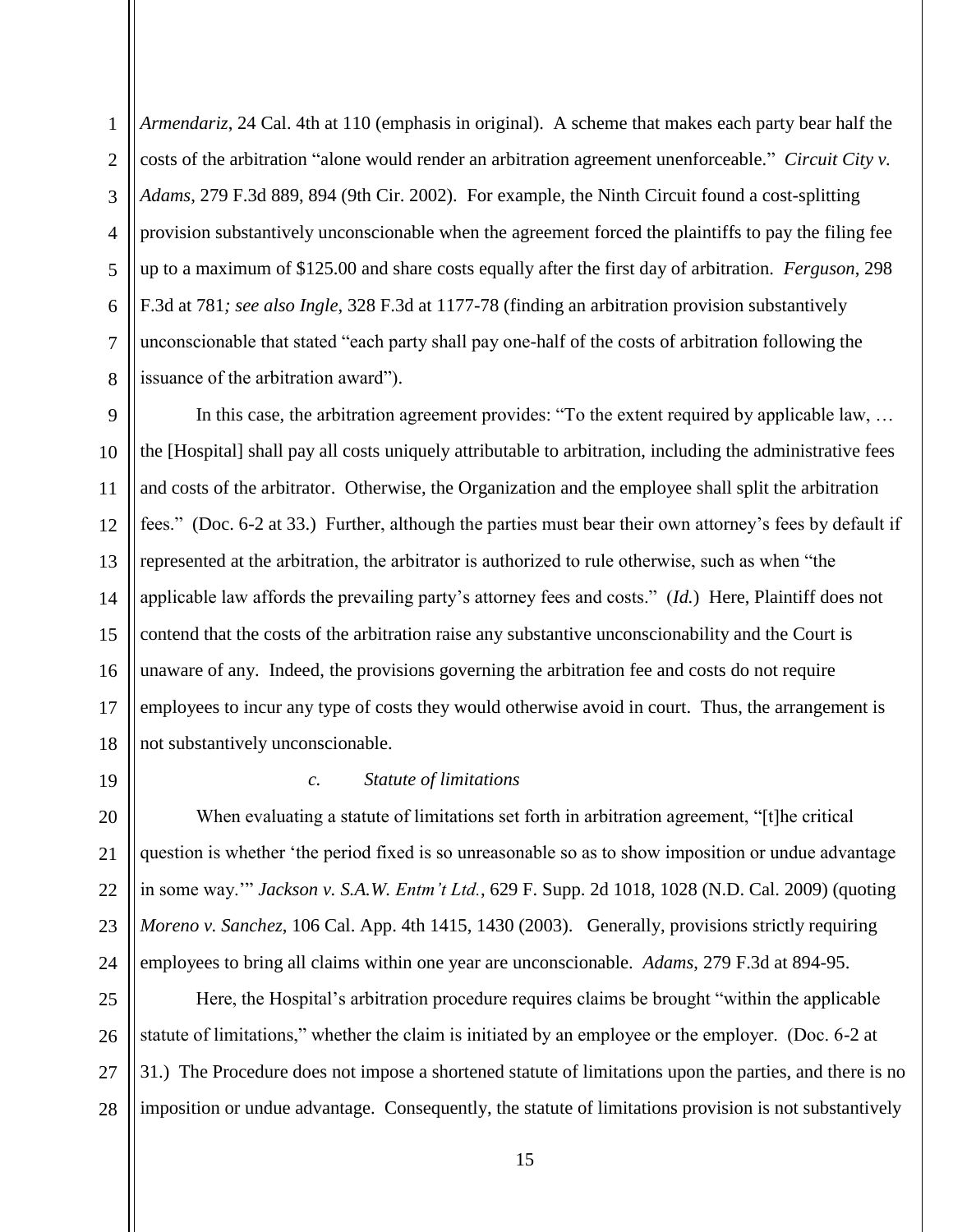1 2 3 4 5 6 7 8 *Armendariz*, 24 Cal. 4th at 110 (emphasis in original). A scheme that makes each party bear half the costs of the arbitration "alone would render an arbitration agreement unenforceable." *Circuit City v. Adams*, 279 F.3d 889, 894 (9th Cir. 2002). For example, the Ninth Circuit found a cost-splitting provision substantively unconscionable when the agreement forced the plaintiffs to pay the filing fee up to a maximum of \$125.00 and share costs equally after the first day of arbitration. *Ferguson*, 298 F.3d at 781*; see also Ingle*, 328 F.3d at 1177-78 (finding an arbitration provision substantively unconscionable that stated "each party shall pay one-half of the costs of arbitration following the issuance of the arbitration award").

9 10 11 12 13 14 15 16 17 18 In this case, the arbitration agreement provides: "To the extent required by applicable law, ... the [Hospital] shall pay all costs uniquely attributable to arbitration, including the administrative fees and costs of the arbitrator. Otherwise, the Organization and the employee shall split the arbitration fees." (Doc. 6-2 at 33.) Further, although the parties must bear their own attorney's fees by default if represented at the arbitration, the arbitrator is authorized to rule otherwise, such as when "the applicable law affords the prevailing party's attorney fees and costs." (*Id.*) Here, Plaintiff does not contend that the costs of the arbitration raise any substantive unconscionability and the Court is unaware of any. Indeed, the provisions governing the arbitration fee and costs do not require employees to incur any type of costs they would otherwise avoid in court. Thus, the arrangement is not substantively unconscionable.

19

### *c. Statute of limitations*

20 21 22 23 24 When evaluating a statute of limitations set forth in arbitration agreement, "[t]he critical question is whether 'the period fixed is so unreasonable so as to show imposition or undue advantage in some way.'" *Jackson v. S.A.W. Entm't Ltd.*, 629 F. Supp. 2d 1018, 1028 (N.D. Cal. 2009) (quoting *Moreno v. Sanchez*, 106 Cal. App. 4th 1415, 1430 (2003). Generally, provisions strictly requiring employees to bring all claims within one year are unconscionable. *Adams*, 279 F.3d at 894-95.

25 26 27 28 Here, the Hospital's arbitration procedure requires claims be brought "within the applicable statute of limitations," whether the claim is initiated by an employee or the employer. (Doc. 6-2 at 31.) The Procedure does not impose a shortened statute of limitations upon the parties, and there is no imposition or undue advantage. Consequently, the statute of limitations provision is not substantively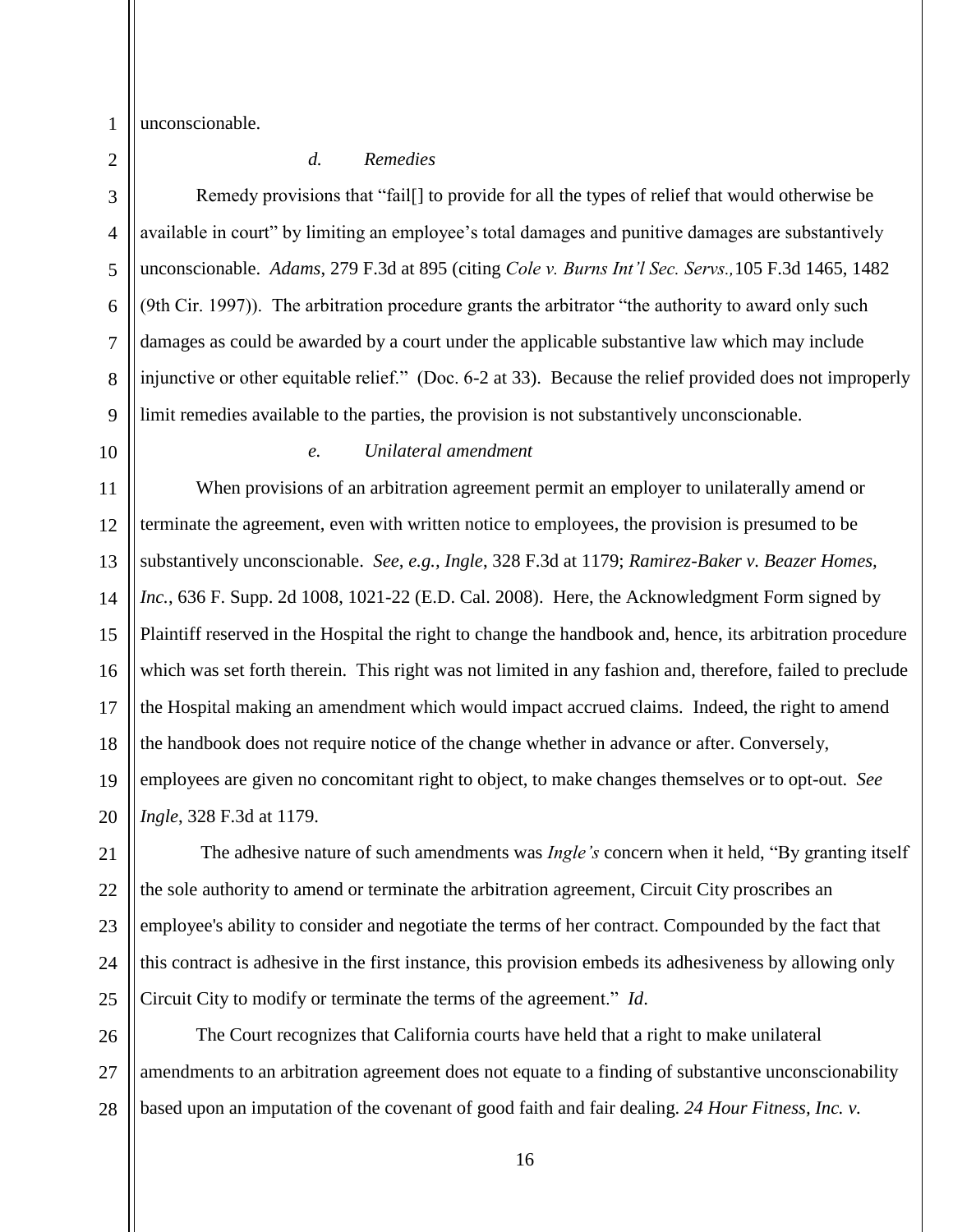unconscionable.

1 2

### *d. Remedies*

3 4 5 6 7 8 9 Remedy provisions that "fail[] to provide for all the types of relief that would otherwise be available in court" by limiting an employee's total damages and punitive damages are substantively unconscionable. *Adams*, 279 F.3d at 895 (citing *Cole v. Burns Int'l Sec. Servs.,*105 F.3d 1465, 1482 (9th Cir. 1997)). The arbitration procedure grants the arbitrator "the authority to award only such damages as could be awarded by a court under the applicable substantive law which may include injunctive or other equitable relief." (Doc. 6-2 at 33). Because the relief provided does not improperly limit remedies available to the parties, the provision is not substantively unconscionable.

10

#### *e. Unilateral amendment*

11 12 13 14 15 16 17 18 19 20 When provisions of an arbitration agreement permit an employer to unilaterally amend or terminate the agreement, even with written notice to employees, the provision is presumed to be substantively unconscionable. *See, e.g., Ingle*, 328 F.3d at 1179; *Ramirez-Baker v. Beazer Homes,*  Inc., 636 F. Supp. 2d 1008, 1021-22 (E.D. Cal. 2008). Here, the Acknowledgment Form signed by Plaintiff reserved in the Hospital the right to change the handbook and, hence, its arbitration procedure which was set forth therein. This right was not limited in any fashion and, therefore, failed to preclude the Hospital making an amendment which would impact accrued claims. Indeed, the right to amend the handbook does not require notice of the change whether in advance or after. Conversely, employees are given no concomitant right to object, to make changes themselves or to opt-out. *See Ingle*, 328 F.3d at 1179.

21 22 23 24 25 The adhesive nature of such amendments was *Ingle's* concern when it held, "By granting itself the sole authority to amend or terminate the arbitration agreement, Circuit City proscribes an employee's ability to consider and negotiate the terms of her contract. Compounded by the fact that this contract is adhesive in the first instance, this provision embeds its adhesiveness by allowing only Circuit City to modify or terminate the terms of the agreement." *Id*.

26 27 28 The Court recognizes that California courts have held that a right to make unilateral amendments to an arbitration agreement does not equate to a finding of substantive unconscionability based upon an imputation of the covenant of good faith and fair dealing. *24 Hour Fitness, Inc. v.*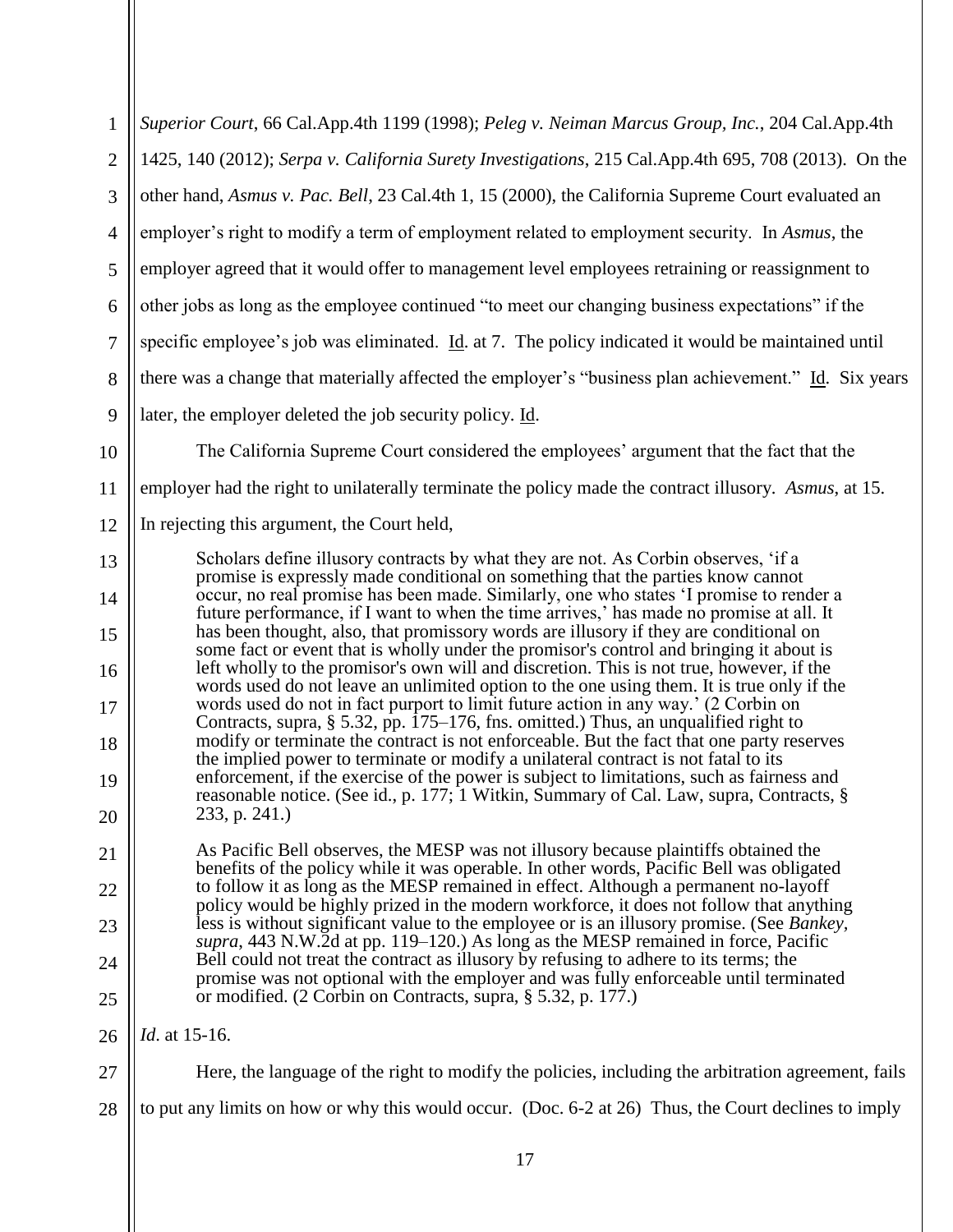| $\mathbf{1}$   | Superior Court, 66 Cal.App.4th 1199 (1998); Peleg v. Neiman Marcus Group, Inc., 204 Cal.App.4th                                                                                                                                                                                                                                                                                                                                                                                                                                                                                                                                                                                                                                               |  |  |  |  |
|----------------|-----------------------------------------------------------------------------------------------------------------------------------------------------------------------------------------------------------------------------------------------------------------------------------------------------------------------------------------------------------------------------------------------------------------------------------------------------------------------------------------------------------------------------------------------------------------------------------------------------------------------------------------------------------------------------------------------------------------------------------------------|--|--|--|--|
| $\overline{2}$ | 1425, 140 (2012); Serpa v. California Surety Investigations, 215 Cal.App.4th 695, 708 (2013). On the                                                                                                                                                                                                                                                                                                                                                                                                                                                                                                                                                                                                                                          |  |  |  |  |
| 3              | other hand, Asmus v. Pac. Bell, 23 Cal.4th 1, 15 (2000), the California Supreme Court evaluated an                                                                                                                                                                                                                                                                                                                                                                                                                                                                                                                                                                                                                                            |  |  |  |  |
| $\overline{4}$ | employer's right to modify a term of employment related to employment security. In Asmus, the                                                                                                                                                                                                                                                                                                                                                                                                                                                                                                                                                                                                                                                 |  |  |  |  |
| 5              | employer agreed that it would offer to management level employees retraining or reassignment to                                                                                                                                                                                                                                                                                                                                                                                                                                                                                                                                                                                                                                               |  |  |  |  |
| 6              | other jobs as long as the employee continued "to meet our changing business expectations" if the                                                                                                                                                                                                                                                                                                                                                                                                                                                                                                                                                                                                                                              |  |  |  |  |
| $\tau$         | specific employee's job was eliminated. Id. at 7. The policy indicated it would be maintained until                                                                                                                                                                                                                                                                                                                                                                                                                                                                                                                                                                                                                                           |  |  |  |  |
| 8              | there was a change that materially affected the employer's "business plan achievement." Id. Six years                                                                                                                                                                                                                                                                                                                                                                                                                                                                                                                                                                                                                                         |  |  |  |  |
| 9              | later, the employer deleted the job security policy. Id.                                                                                                                                                                                                                                                                                                                                                                                                                                                                                                                                                                                                                                                                                      |  |  |  |  |
| 10             | The California Supreme Court considered the employees' argument that the fact that the                                                                                                                                                                                                                                                                                                                                                                                                                                                                                                                                                                                                                                                        |  |  |  |  |
| 11             | employer had the right to unilaterally terminate the policy made the contract illusory. Asmus, at 15.                                                                                                                                                                                                                                                                                                                                                                                                                                                                                                                                                                                                                                         |  |  |  |  |
| 12             | In rejecting this argument, the Court held,                                                                                                                                                                                                                                                                                                                                                                                                                                                                                                                                                                                                                                                                                                   |  |  |  |  |
| 13             | Scholars define illusory contracts by what they are not. As Corbin observes, 'if a<br>promise is expressly made conditional on something that the parties know cannot                                                                                                                                                                                                                                                                                                                                                                                                                                                                                                                                                                         |  |  |  |  |
| 14             | occur, no real promise has been made. Similarly, one who states 'I promise to render a<br>future performance, if I want to when the time arrives,' has made no promise at all. It<br>has been thought, also, that promissory words are illusory if they are conditional on<br>some fact or event that is wholly under the promisor's control and bringing it about is                                                                                                                                                                                                                                                                                                                                                                         |  |  |  |  |
| 15             |                                                                                                                                                                                                                                                                                                                                                                                                                                                                                                                                                                                                                                                                                                                                               |  |  |  |  |
| 16             | left wholly to the promisor's own will and discretion. This is not true, however, if the<br>words used do not leave an unlimited option to the one using them. It is true only if the<br>words used do not in fact purport to limit future action in any way.' (2 Corbin on<br>Contracts, supra, § 5.32, pp. 175–176, fns. omitted.) Thus, an unqualified right to<br>modify or terminate the contract is not enforceable. But the fact that one party reserves<br>the implied power to terminate or modify a unilateral contract is not fatal to its<br>enforcement, if the exercise of the power is subject to limitations, such as fairness and<br>reasonable notice. (See id., p. 177; 1 Witkin, Summary of Cal. Law, supra, Contracts, § |  |  |  |  |
| 17             |                                                                                                                                                                                                                                                                                                                                                                                                                                                                                                                                                                                                                                                                                                                                               |  |  |  |  |
| 18             |                                                                                                                                                                                                                                                                                                                                                                                                                                                                                                                                                                                                                                                                                                                                               |  |  |  |  |
| 19             |                                                                                                                                                                                                                                                                                                                                                                                                                                                                                                                                                                                                                                                                                                                                               |  |  |  |  |
| 20             | 233, p. 241.                                                                                                                                                                                                                                                                                                                                                                                                                                                                                                                                                                                                                                                                                                                                  |  |  |  |  |
| 21             | As Pacific Bell observes, the MESP was not illusory because plaintiffs obtained the<br>benefits of the policy while it was operable. In other words, Pacific Bell was obligated                                                                                                                                                                                                                                                                                                                                                                                                                                                                                                                                                               |  |  |  |  |
| 22             | to follow it as long as the MESP remained in effect. Although a permanent no-layoff<br>policy would be highly prized in the modern workforce, it does not follow that anything                                                                                                                                                                                                                                                                                                                                                                                                                                                                                                                                                                |  |  |  |  |
| 23             | less is without significant value to the employee or is an illusory promise. (See Bankey,<br>supra, 443 N.W.2d at pp. 119–120.) As long as the MESP remained in force, Pacific                                                                                                                                                                                                                                                                                                                                                                                                                                                                                                                                                                |  |  |  |  |
| 24             | Bell could not treat the contract as illusory by refusing to adhere to its terms; the<br>promise was not optional with the employer and was fully enforceable until terminated                                                                                                                                                                                                                                                                                                                                                                                                                                                                                                                                                                |  |  |  |  |
| 25             | or modified. (2 Corbin on Contracts, supra, § 5.32, p. 177.)                                                                                                                                                                                                                                                                                                                                                                                                                                                                                                                                                                                                                                                                                  |  |  |  |  |
| 26             | <i>Id.</i> at 15-16.                                                                                                                                                                                                                                                                                                                                                                                                                                                                                                                                                                                                                                                                                                                          |  |  |  |  |
| 27             | Here, the language of the right to modify the policies, including the arbitration agreement, fails                                                                                                                                                                                                                                                                                                                                                                                                                                                                                                                                                                                                                                            |  |  |  |  |
| 28             | to put any limits on how or why this would occur. (Doc. 6-2 at 26) Thus, the Court declines to imply                                                                                                                                                                                                                                                                                                                                                                                                                                                                                                                                                                                                                                          |  |  |  |  |
|                | 17                                                                                                                                                                                                                                                                                                                                                                                                                                                                                                                                                                                                                                                                                                                                            |  |  |  |  |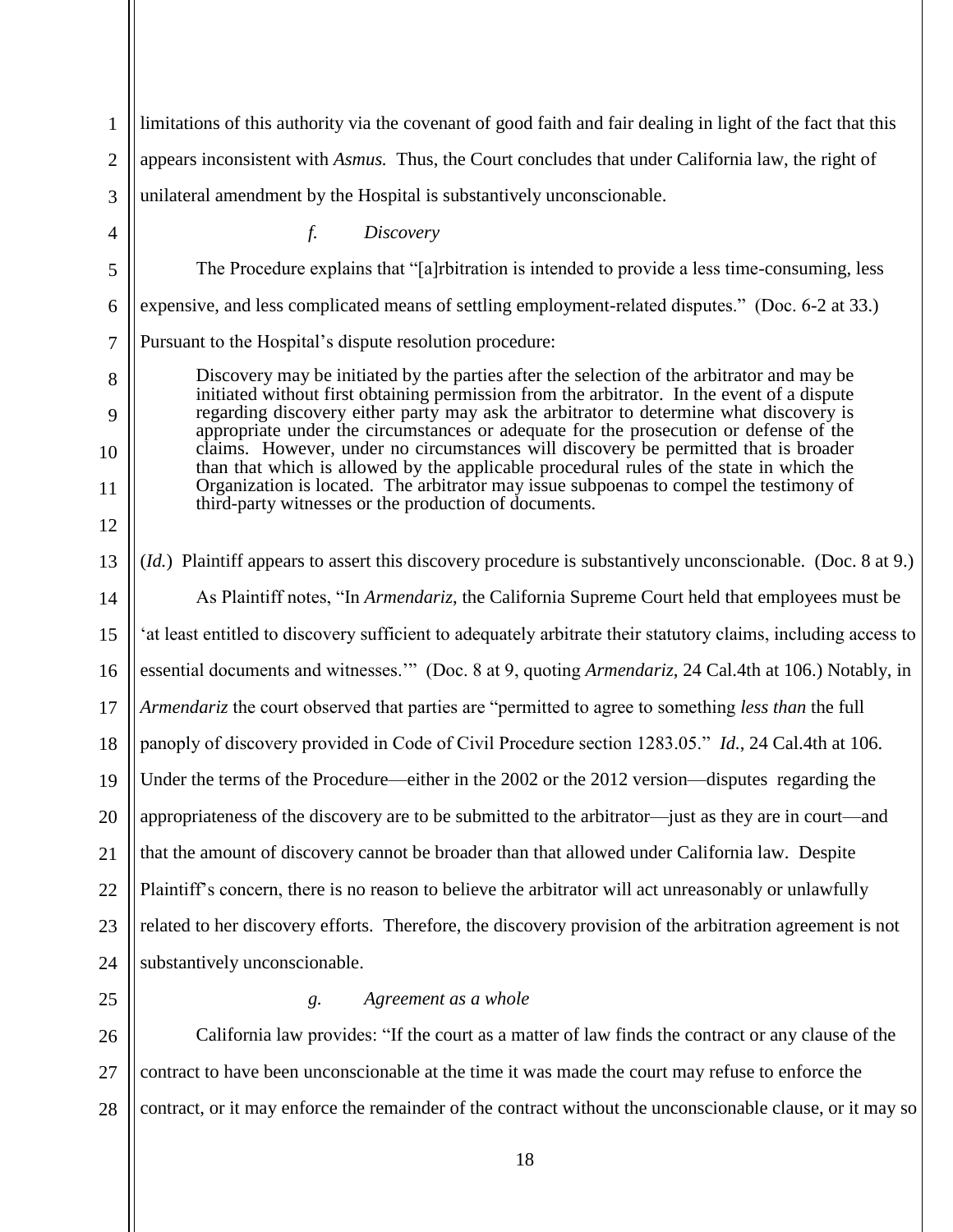1 2 3 4 5 6 7 8 9 10 11 12 13 14 15 16 17 18 19 20 21 22 23 24 25 limitations of this authority via the covenant of good faith and fair dealing in light of the fact that this appears inconsistent with *Asmus.* Thus, the Court concludes that under California law, the right of unilateral amendment by the Hospital is substantively unconscionable. *f. Discovery* The Procedure explains that "[a]rbitration is intended to provide a less time-consuming, less expensive, and less complicated means of settling employment-related disputes." (Doc. 6-2 at 33.) Pursuant to the Hospital's dispute resolution procedure: Discovery may be initiated by the parties after the selection of the arbitrator and may be initiated without first obtaining permission from the arbitrator. In the event of a dispute regarding discovery either party may ask the arbitrator to determine what discovery is appropriate under the circumstances or adequate for the prosecution or defense of the claims. However, under no circumstances will discovery be permitted that is broader than that which is allowed by the applicable procedural rules of the state in which the Organization is located. The arbitrator may issue subpoenas to compel the testimony of third-party witnesses or the production of documents. (*Id.*) Plaintiff appears to assert this discovery procedure is substantively unconscionable. (Doc. 8 at 9.) As Plaintiff notes, "In *Armendariz*, the California Supreme Court held that employees must be 'at least entitled to discovery sufficient to adequately arbitrate their statutory claims, including access to essential documents and witnesses.'" (Doc. 8 at 9, quoting *Armendariz*, 24 Cal.4th at 106.) Notably, in *Armendariz* the court observed that parties are "permitted to agree to something *less than* the full panoply of discovery provided in Code of Civil Procedure section 1283.05." *Id.*, 24 Cal.4th at 106. Under the terms of the Procedure—either in the 2002 or the 2012 version—disputes regarding the appropriateness of the discovery are to be submitted to the arbitrator—just as they are in court—and that the amount of discovery cannot be broader than that allowed under California law. Despite Plaintiff's concern, there is no reason to believe the arbitrator will act unreasonably or unlawfully related to her discovery efforts. Therefore, the discovery provision of the arbitration agreement is not substantively unconscionable. *g. Agreement as a whole*

26 27 28 California law provides: "If the court as a matter of law finds the contract or any clause of the contract to have been unconscionable at the time it was made the court may refuse to enforce the contract, or it may enforce the remainder of the contract without the unconscionable clause, or it may so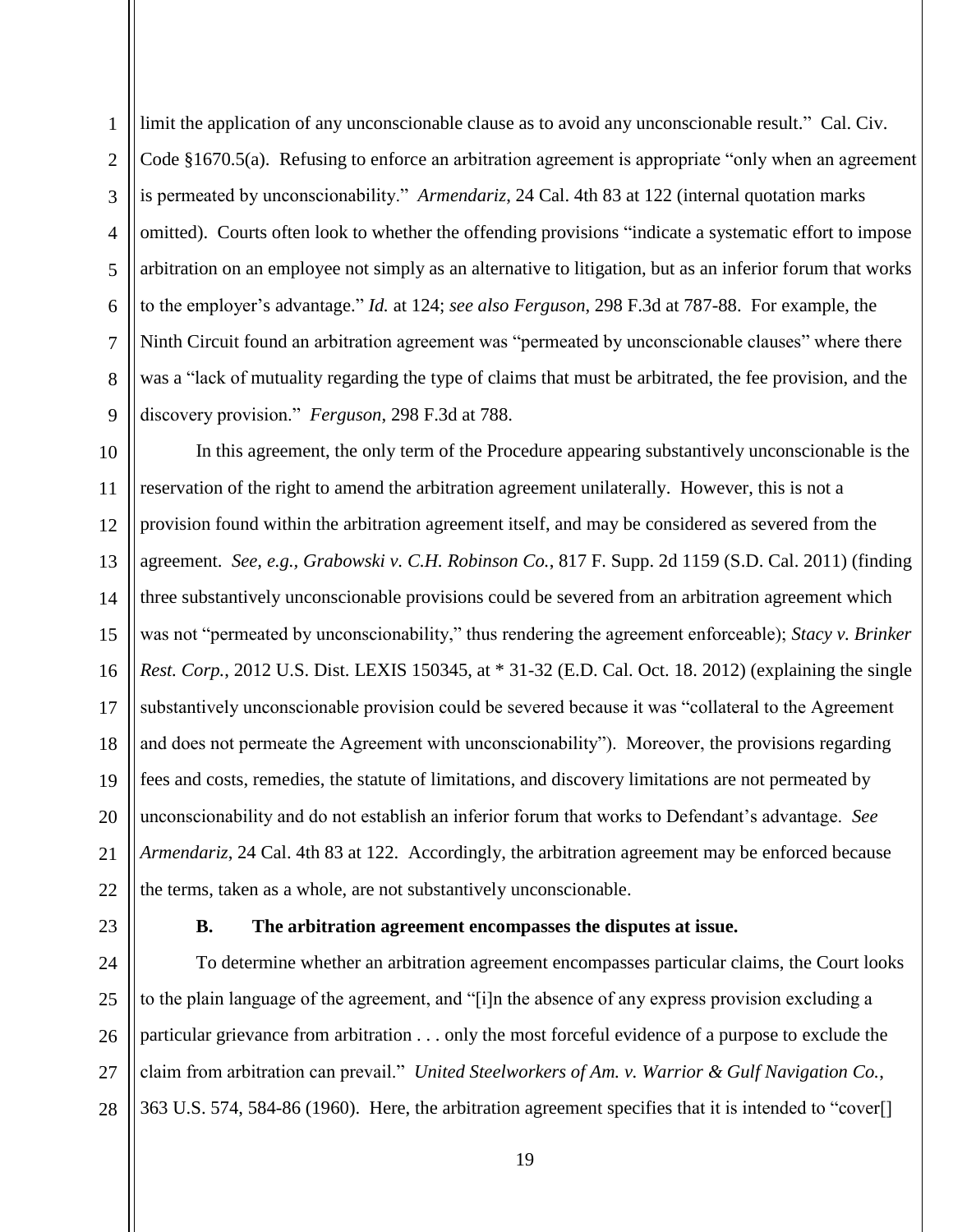1 2 3 4 5 6 7 8 9 limit the application of any unconscionable clause as to avoid any unconscionable result." Cal. Civ. Code §1670.5(a). Refusing to enforce an arbitration agreement is appropriate "only when an agreement is permeated by unconscionability." *Armendariz*, 24 Cal. 4th 83 at 122 (internal quotation marks omitted). Courts often look to whether the offending provisions "indicate a systematic effort to impose arbitration on an employee not simply as an alternative to litigation, but as an inferior forum that works to the employer's advantage." *Id.* at 124; *see also Ferguson*, 298 F.3d at 787-88. For example, the Ninth Circuit found an arbitration agreement was "permeated by unconscionable clauses" where there was a "lack of mutuality regarding the type of claims that must be arbitrated, the fee provision, and the discovery provision." *Ferguson*, 298 F.3d at 788.

10 11 12 13 14 15 16 17 18 19 20 21 22 In this agreement, the only term of the Procedure appearing substantively unconscionable is the reservation of the right to amend the arbitration agreement unilaterally. However, this is not a provision found within the arbitration agreement itself, and may be considered as severed from the agreement. *See, e.g., Grabowski v. C.H. Robinson Co.*, 817 F. Supp. 2d 1159 (S.D. Cal. 2011) (finding three substantively unconscionable provisions could be severed from an arbitration agreement which was not "permeated by unconscionability," thus rendering the agreement enforceable); *Stacy v. Brinker Rest. Corp.*, 2012 U.S. Dist. LEXIS 150345, at \* 31-32 (E.D. Cal. Oct. 18. 2012) (explaining the single substantively unconscionable provision could be severed because it was "collateral to the Agreement and does not permeate the Agreement with unconscionability"). Moreover, the provisions regarding fees and costs, remedies, the statute of limitations, and discovery limitations are not permeated by unconscionability and do not establish an inferior forum that works to Defendant's advantage. *See Armendariz*, 24 Cal. 4th 83 at 122. Accordingly, the arbitration agreement may be enforced because the terms, taken as a whole, are not substantively unconscionable.

23

### **B. The arbitration agreement encompasses the disputes at issue.**

24 25 26 27 28 To determine whether an arbitration agreement encompasses particular claims, the Court looks to the plain language of the agreement, and "[i]n the absence of any express provision excluding a particular grievance from arbitration . . . only the most forceful evidence of a purpose to exclude the claim from arbitration can prevail." *United Steelworkers of Am. v. Warrior & Gulf Navigation Co.*, 363 U.S. 574, 584-86 (1960). Here, the arbitration agreement specifies that it is intended to "cover[]